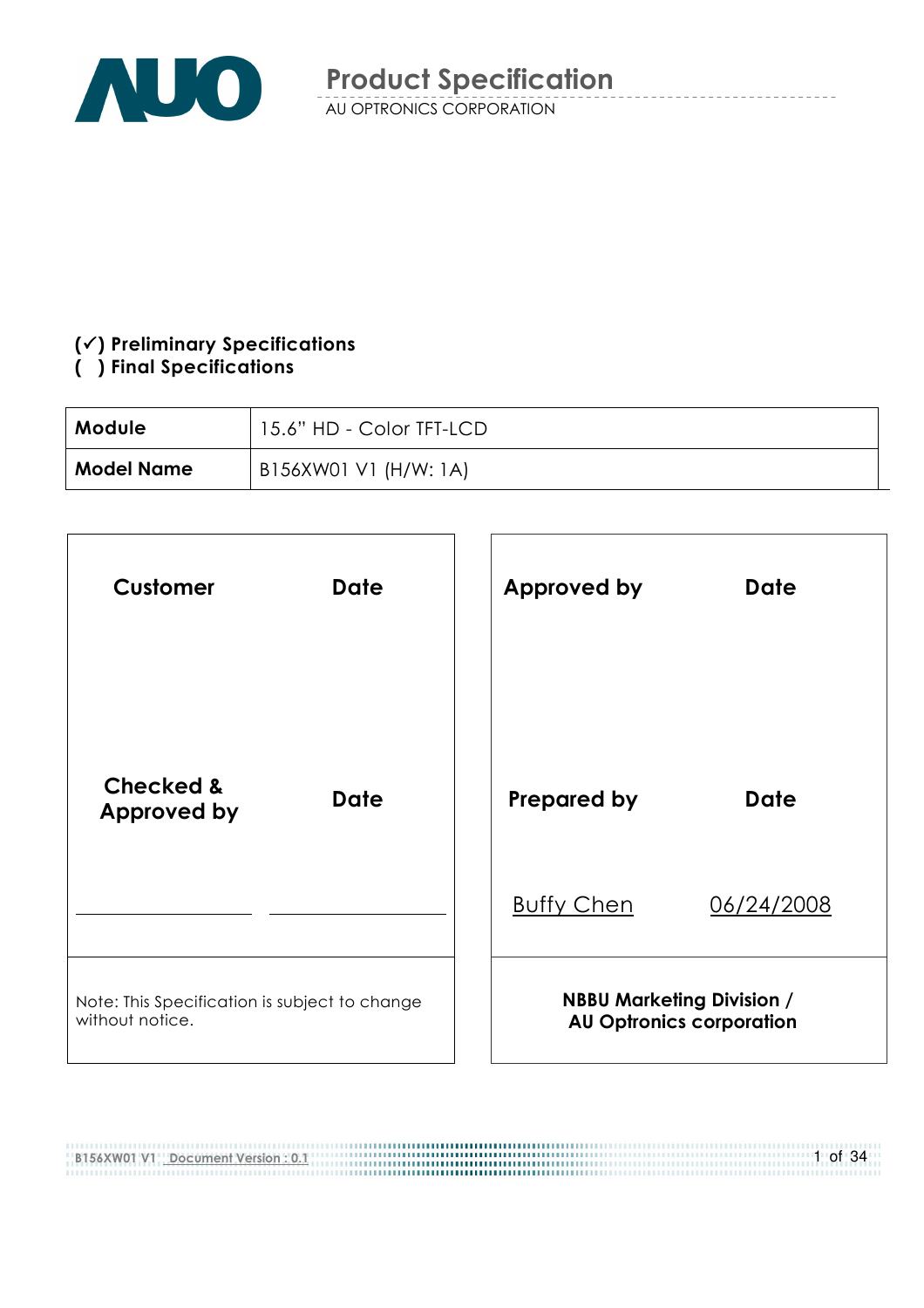

#### $(\checkmark)$  Preliminary Specifications

#### () Final Specifications

| Module            | 15.6" HD - Color TFT-LCD |
|-------------------|--------------------------|
| <b>Model Name</b> | B156XW01 V1 (H/W: 1A)    |

| <b>Customer</b>                                                  | <b>Date</b> |  | <b>Approved by</b> | <b>Date</b>                                                         |
|------------------------------------------------------------------|-------------|--|--------------------|---------------------------------------------------------------------|
| <b>Checked &amp;</b><br><b>Approved by</b>                       | <b>Date</b> |  | <b>Prepared by</b> | <b>Date</b>                                                         |
|                                                                  |             |  | <b>Buffy Chen</b>  | 06/24/2008                                                          |
| Note: This Specification is subject to change<br>without notice. |             |  |                    | <b>NBBU Marketing Division /</b><br><b>AU Optronics corporation</b> |

B156XW01 V1 Document Version : 0.1 ,,,,,,,,,,,,,,,,,,,,,,,,,,,,,,, 1 of 34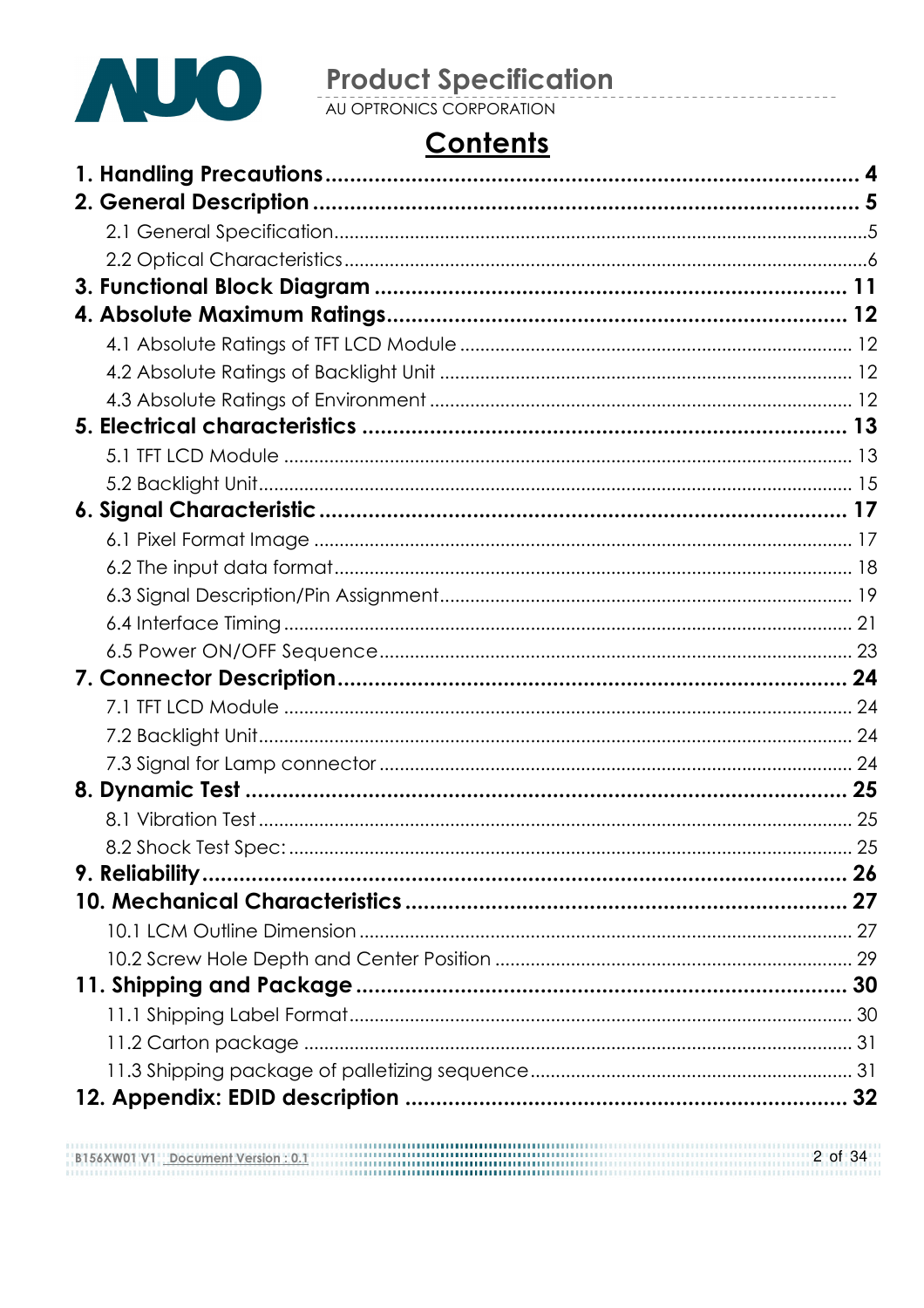

# **Product Specification**<br>AU OPTRONICS CORPORATION

# **Contents**

| 25 |
|----|
|    |
|    |
|    |
|    |
|    |
|    |
|    |
|    |
|    |
|    |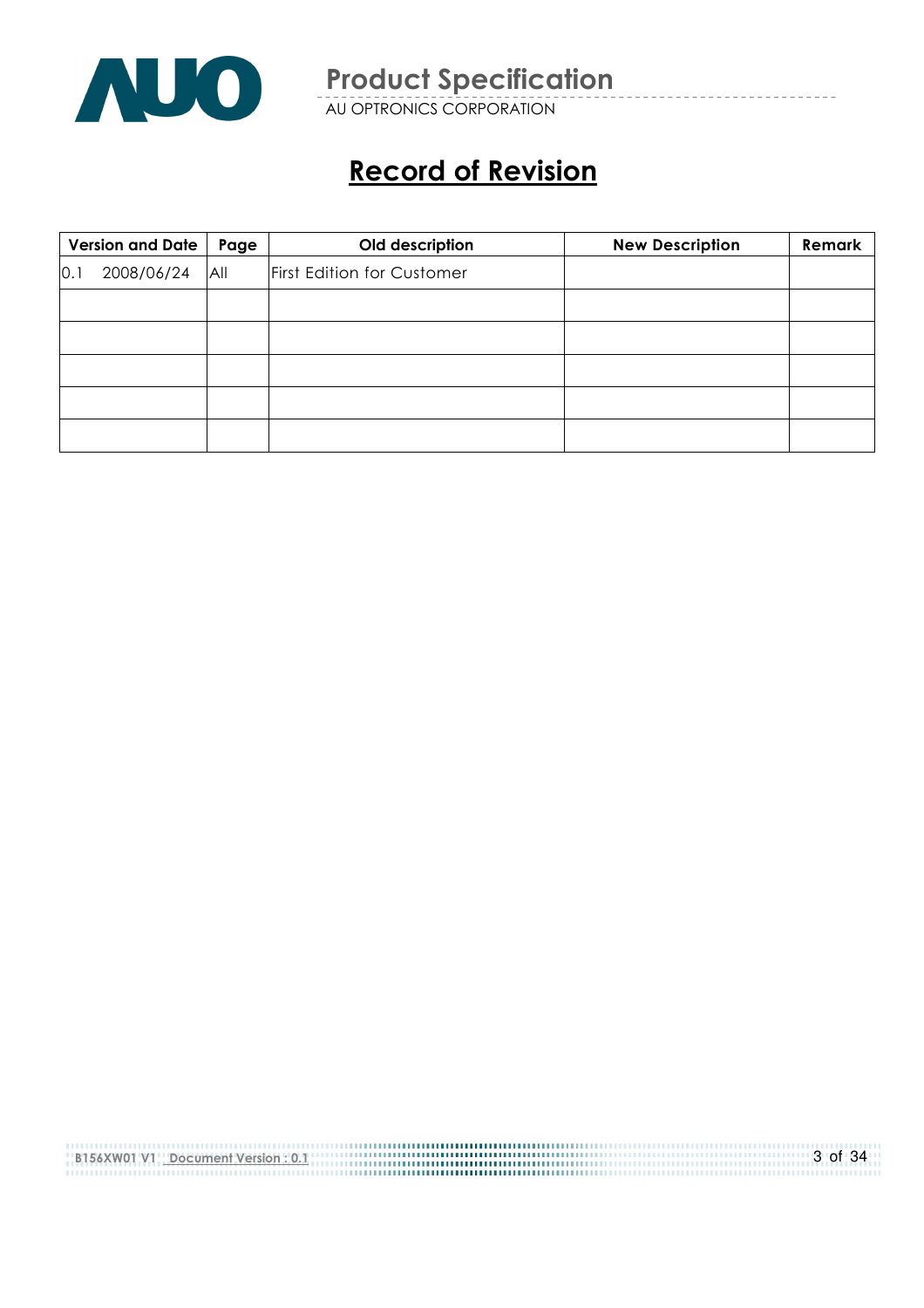

AU OPTRONICS CORPORATION

# Record of Revision

|     | <b>Version and Date</b> | Page | Old description            | <b>New Description</b> | Remark |
|-----|-------------------------|------|----------------------------|------------------------|--------|
| 0.1 | 2008/06/24              | All  | First Edition for Customer |                        |        |
|     |                         |      |                            |                        |        |
|     |                         |      |                            |                        |        |
|     |                         |      |                            |                        |        |
|     |                         |      |                            |                        |        |
|     |                         |      |                            |                        |        |

| B156XW01 V1 Document Version : 0.1 | 3 of 34 |
|------------------------------------|---------|
|                                    |         |
|                                    |         |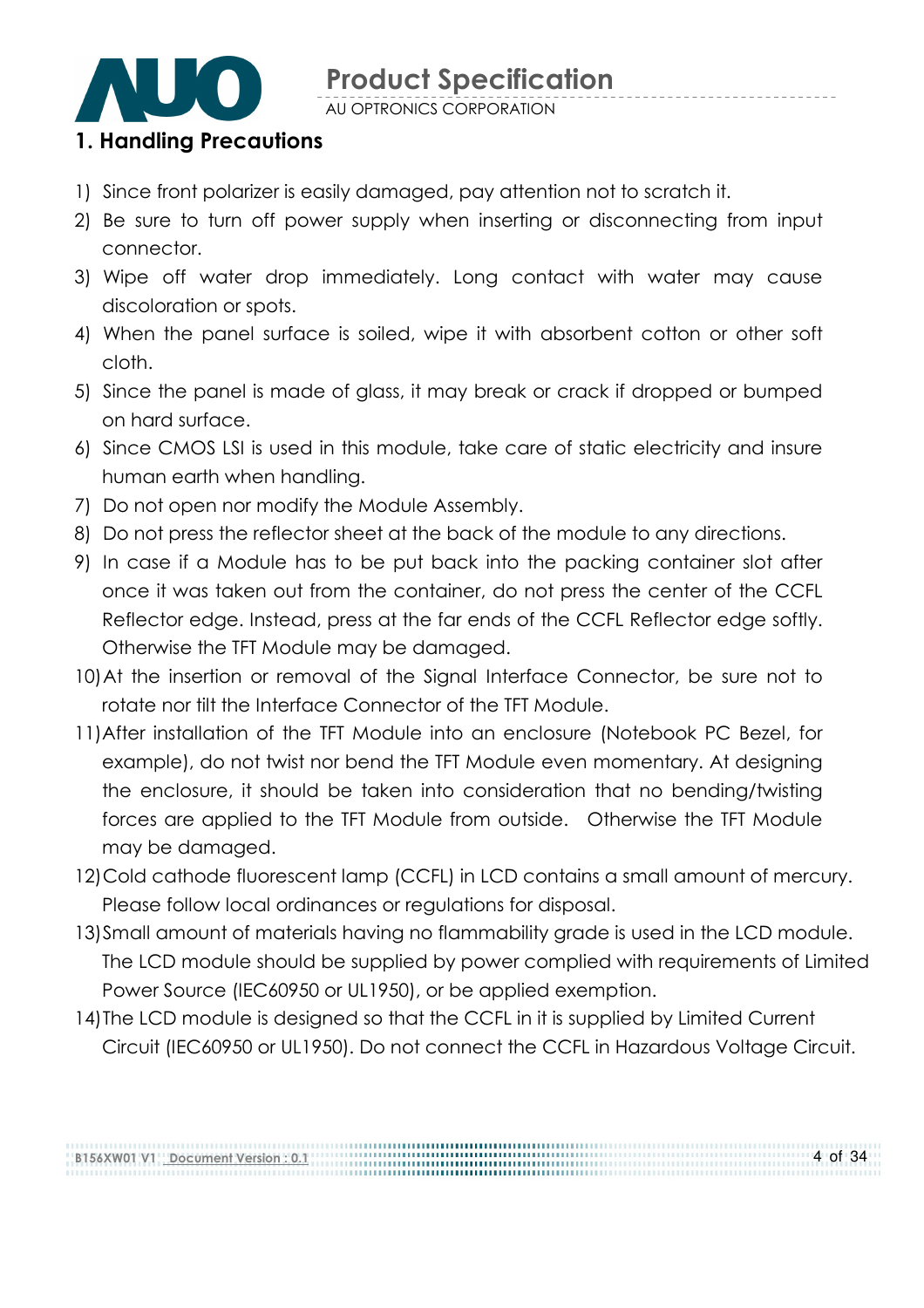

AU OPTRONICS CORPORATION

## 1. Handling Precautions

- 1) Since front polarizer is easily damaged, pay attention not to scratch it.
- 2) Be sure to turn off power supply when inserting or disconnecting from input connector.
- 3) Wipe off water drop immediately. Long contact with water may cause discoloration or spots.
- 4) When the panel surface is soiled, wipe it with absorbent cotton or other soft cloth.
- 5) Since the panel is made of glass, it may break or crack if dropped or bumped on hard surface.
- 6) Since CMOS LSI is used in this module, take care of static electricity and insure human earth when handling.
- 7) Do not open nor modify the Module Assembly.
- 8) Do not press the reflector sheet at the back of the module to any directions.
- 9) In case if a Module has to be put back into the packing container slot after once it was taken out from the container, do not press the center of the CCFL Reflector edge. Instead, press at the far ends of the CCFL Reflector edge softly. Otherwise the TFT Module may be damaged.
- 10)At the insertion or removal of the Signal Interface Connector, be sure not to rotate nor tilt the Interface Connector of the TFT Module.
- 11) After installation of the TFT Module into an enclosure (Notebook PC Bezel, for example), do not twist nor bend the TFT Module even momentary. At designing the enclosure, it should be taken into consideration that no bending/twisting forces are applied to the TFT Module from outside. Otherwise the TFT Module may be damaged.
- 12)Cold cathode fluorescent lamp (CCFL) in LCD contains a small amount of mercury. Please follow local ordinances or regulations for disposal.
- 13)Small amount of materials having no flammability grade is used in the LCD module. The LCD module should be supplied by power complied with requirements of Limited Power Source (IEC60950 or UL1950), or be applied exemption.
- 14)The LCD module is designed so that the CCFL in it is supplied by Limited Current Circuit (IEC60950 or UL1950). Do not connect the CCFL in Hazardous Voltage Circuit.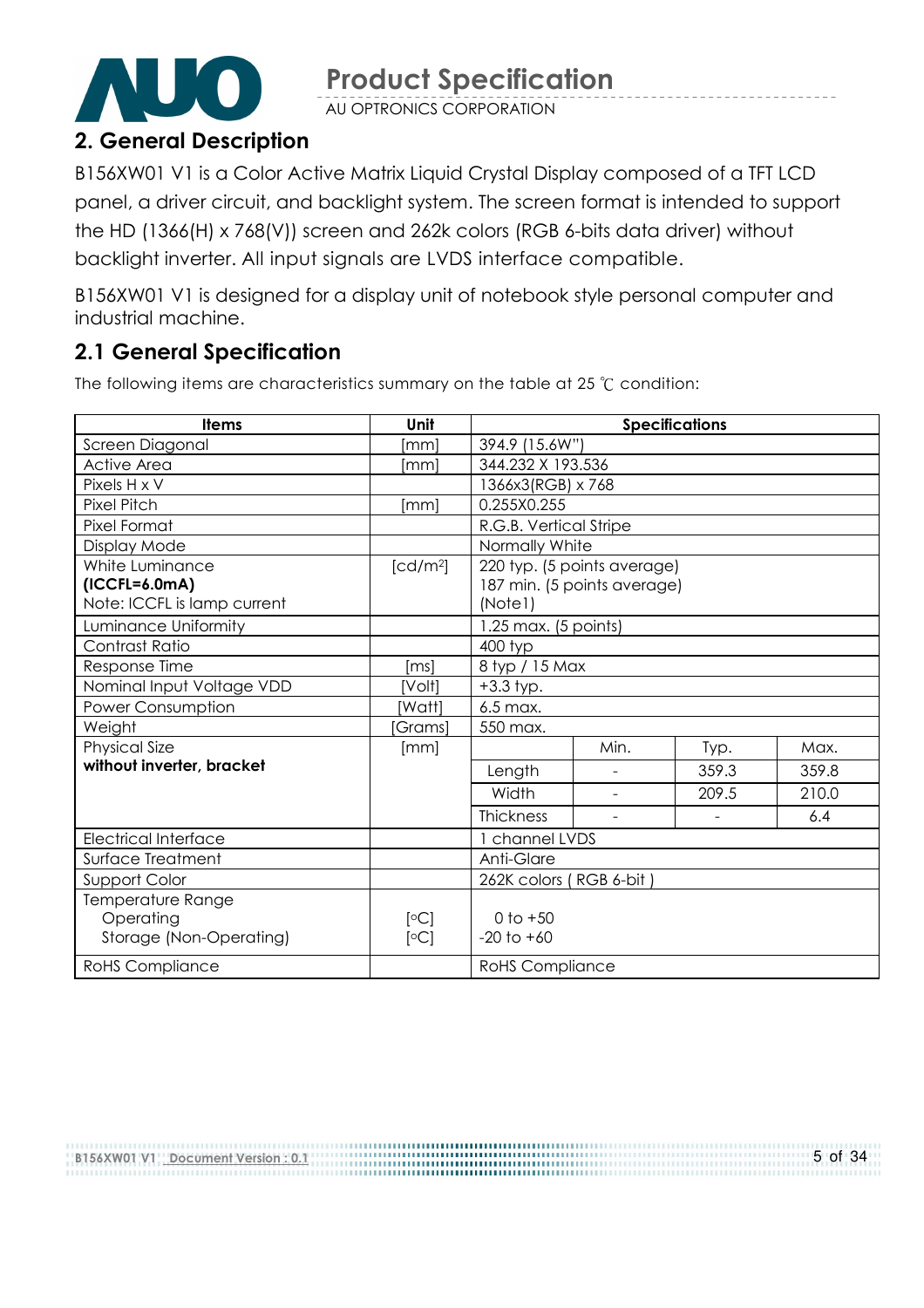AU OPTRONICS CORPORATION

# 2. General Description

B156XW01 V1 is a Color Active Matrix Liquid Crystal Display composed of a TFT LCD panel, a driver circuit, and backlight system. The screen format is intended to support the HD (1366(H) x 768(V)) screen and 262k colors (RGB 6-bits data driver) without backlight inverter. All input signals are LVDS interface compatible.

B156XW01 V1 is designed for a display unit of notebook style personal computer and industrial machine.

### 2.1 General Specification

The following items are characteristics summary on the table at 25  $°C$  condition:

| <b>Items</b>                | Unit                 | <b>Specifications</b>       |                          |       |       |  |  |
|-----------------------------|----------------------|-----------------------------|--------------------------|-------|-------|--|--|
| Screen Diagonal             | [mm                  | 394.9 (15.6W")              |                          |       |       |  |  |
| <b>Active Area</b>          | [mm]                 |                             | 344.232 X 193.536        |       |       |  |  |
| Pixels H x V                |                      | 1366x3(RGB) x 768           |                          |       |       |  |  |
| <b>Pixel Pitch</b>          | [mm]                 | 0.255X0.255                 |                          |       |       |  |  |
| Pixel Format                |                      | R.G.B. Vertical Stripe      |                          |       |       |  |  |
| Display Mode                |                      | Normally White              |                          |       |       |  |  |
| White Luminance             | [cd/m <sup>2</sup> ] | 220 typ. (5 points average) |                          |       |       |  |  |
| $(ICCFL=6.0mA)$             |                      | 187 min. (5 points average) |                          |       |       |  |  |
| Note: ICCFL is lamp current |                      | (Note1)                     |                          |       |       |  |  |
| Luminance Uniformity        |                      | $1.25$ max. (5 points)      |                          |       |       |  |  |
| Contrast Ratio              |                      | 400 typ                     |                          |       |       |  |  |
| Response Time               | [ms]                 | 8 typ / 15 Max              |                          |       |       |  |  |
| Nominal Input Voltage VDD   | [Volt]               | $+3.3$ typ.                 |                          |       |       |  |  |
| Power Consumption           | [Watt]               | 6.5 max.                    |                          |       |       |  |  |
| Weight                      | Grams]               | 550 max.                    |                          |       |       |  |  |
| <b>Physical Size</b>        | [mm]                 |                             | Min.                     | Typ.  | Max.  |  |  |
| without inverter, bracket   |                      | Length                      | $\overline{\phantom{0}}$ | 359.3 | 359.8 |  |  |
|                             |                      | Width                       | $\overline{\phantom{a}}$ | 209.5 | 210.0 |  |  |
|                             |                      | <b>Thickness</b>            | $\overline{\phantom{a}}$ |       | 6.4   |  |  |
| <b>Electrical Interface</b> |                      | channel LVDS                |                          |       |       |  |  |
| Surface Treatment           |                      | Anti-Glare                  |                          |       |       |  |  |
| Support Color               |                      | 262K colors (RGB 6-bit)     |                          |       |       |  |  |
| Temperature Range           |                      |                             |                          |       |       |  |  |
| Operating                   | [°C]                 | 0 to $+50$                  |                          |       |       |  |  |
| Storage (Non-Operating)     | [°C]                 | $-20$ to $+60$              |                          |       |       |  |  |
| <b>RoHS</b> Compliance      |                      | <b>RoHS Compliance</b>      |                          |       |       |  |  |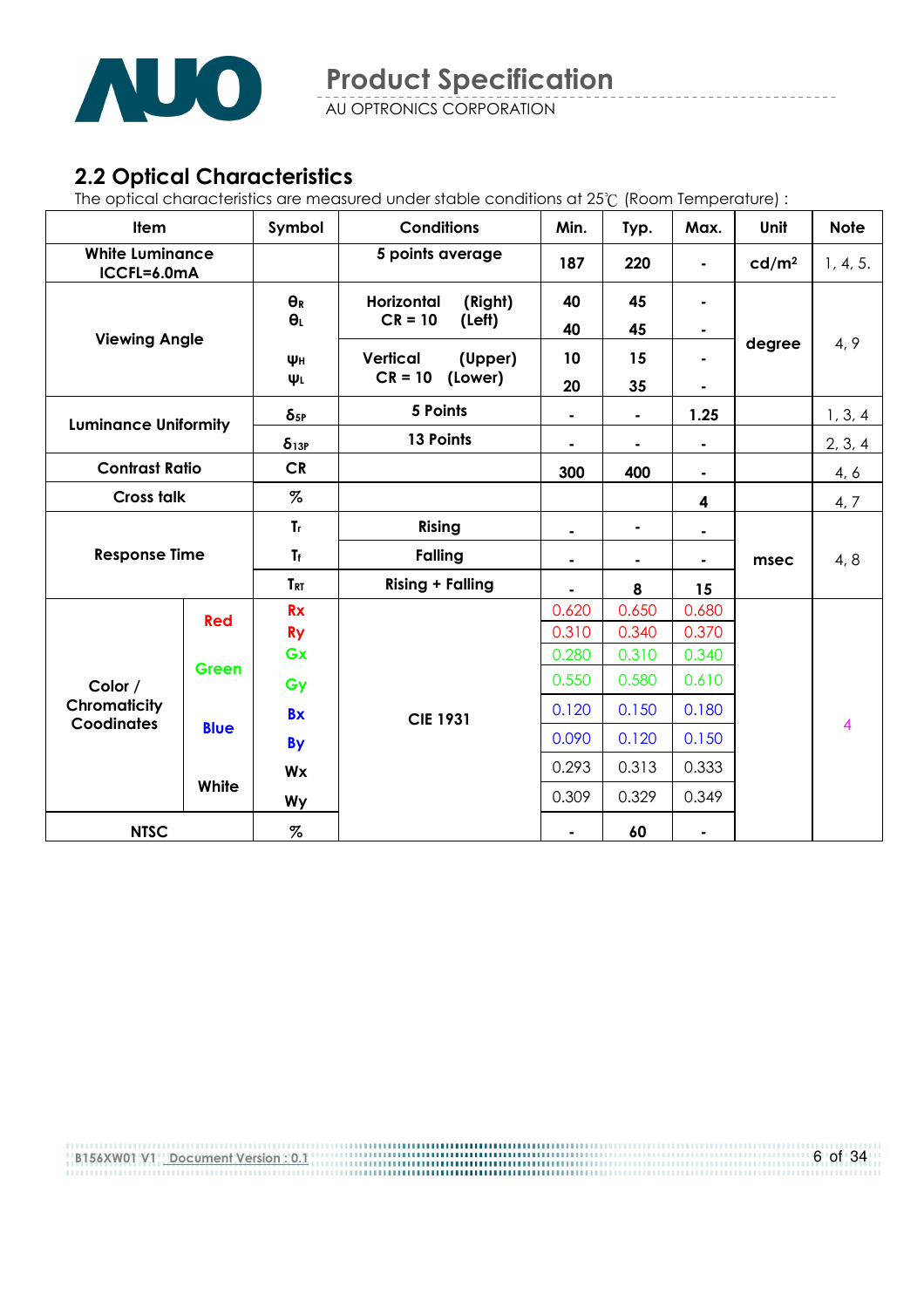

AU OPTRONICS CORPORATION

### 2.2 Optical Characteristics

The optical characteristics are measured under stable conditions at 25°C (Room Temperature) :

| <b>Item</b>                              |             | Symbol                 | <b>Conditions</b>          | Min.  | Typ.  | Max.           | Unit              | <b>Note</b>             |
|------------------------------------------|-------------|------------------------|----------------------------|-------|-------|----------------|-------------------|-------------------------|
| <b>White Luminance</b><br>ICCFL=6.0mA    |             |                        | 5 points average           | 187   | 220   |                | cd/m <sup>2</sup> | 1, 4, 5.                |
|                                          |             | $\Theta_R$             | (Right)<br>Horizontal      | 40    | 45    |                |                   |                         |
| <b>Viewing Angle</b>                     |             | $\theta_L$             | $CR = 10$<br>(Left)        | 40    | 45    |                |                   |                         |
|                                          |             | Wн                     | <b>Vertical</b><br>(Upper) | 10    | 15    |                | degree            | 4, 9                    |
|                                          |             | ΨL                     | $CR = 10$<br>(Lower)       | 20    | 35    |                |                   |                         |
| <b>Luminance Uniformity</b>              |             | $\delta$ <sub>5P</sub> | 5 Points                   | ۰     |       | 1.25           |                   | 1, 3, 4                 |
|                                          |             | $\delta_{13P}$         | 13 Points                  | ٠     | ٠     | $\blacksquare$ |                   | 2, 3, 4                 |
| <b>Contrast Ratio</b>                    |             | <b>CR</b>              |                            | 300   | 400   |                |                   | 4, 6                    |
| <b>Cross talk</b>                        |             | $\%$                   |                            |       |       | 4              |                   | 4, 7                    |
| <b>Response Time</b>                     |             | $T_r$                  | <b>Rising</b>              |       | ۰     |                |                   |                         |
|                                          |             | $T_f$                  | <b>Falling</b>             | ۰     | ۰     | ٠              | msec              | 4, 8                    |
|                                          |             | <b>TRT</b>             | <b>Rising + Falling</b>    | ٠     | 8     | 15             |                   |                         |
| Red                                      |             | <b>Rx</b>              |                            | 0.620 | 0.650 | 0.680          |                   |                         |
|                                          |             | <b>Ry</b>              |                            | 0.310 | 0.340 | 0.370          |                   |                         |
|                                          | Green       | Gx                     |                            | 0.280 | 0.310 | 0.340          |                   |                         |
| Color /                                  |             | Gy                     |                            | 0.550 | 0.580 | 0.610          |                   |                         |
| <b>Chromaticity</b><br><b>Coodinates</b> |             | <b>Bx</b>              | <b>CIE 1931</b>            | 0.120 | 0.150 | 0.180          |                   | $\overline{\mathbf{4}}$ |
|                                          | <b>Blue</b> | <b>By</b>              |                            | 0.090 | 0.120 | 0.150          |                   |                         |
|                                          |             | Wx                     |                            | 0.293 | 0.313 | 0.333          |                   |                         |
|                                          | White       | Wy                     |                            | 0.309 | 0.329 | 0.349          |                   |                         |
| <b>NTSC</b>                              |             | %                      |                            | ۰     | 60    | ٠              |                   |                         |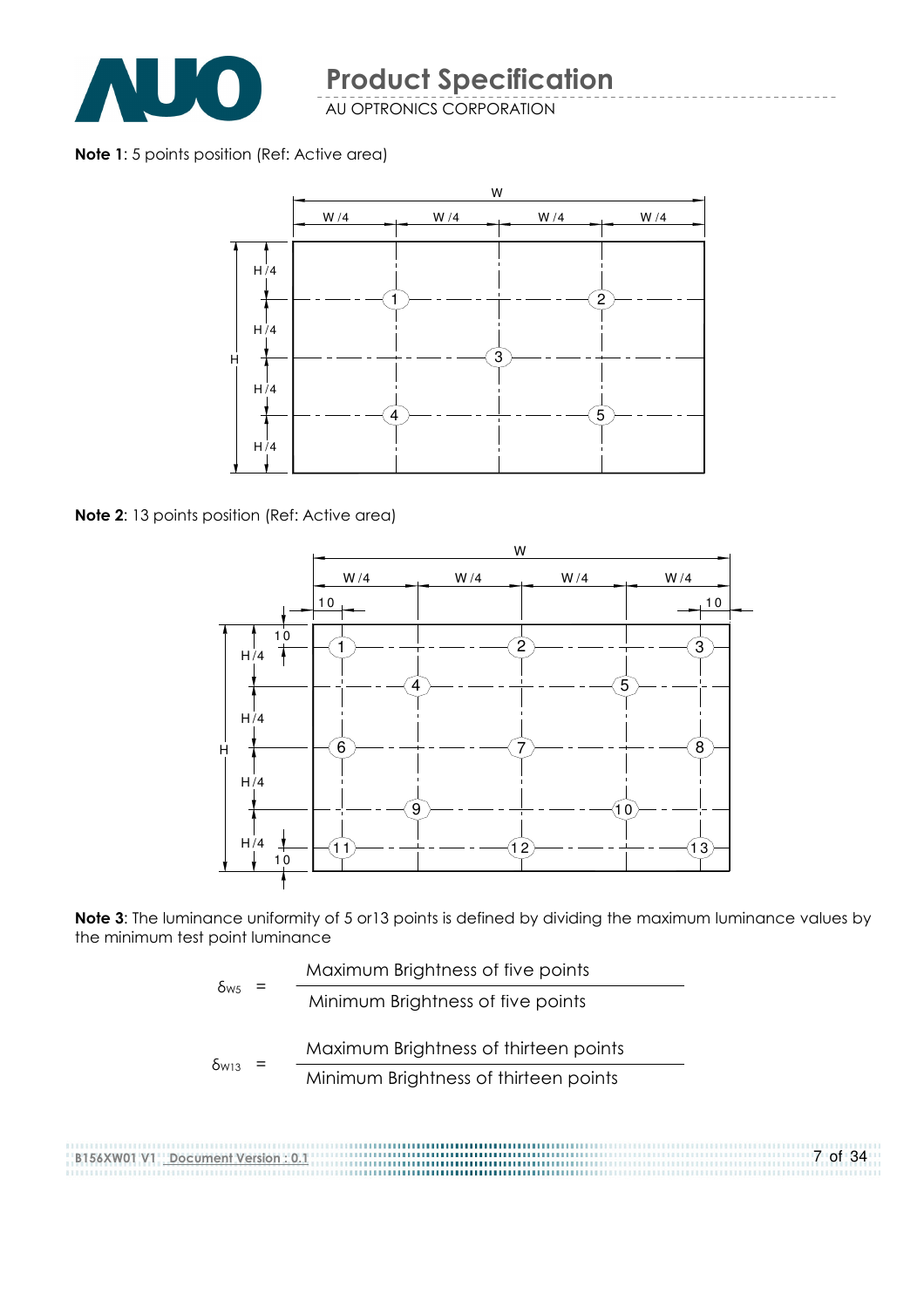

AU OPTRONICS CORPORATION

Note 1: 5 points position (Ref: Active area)



Note 2: 13 points position (Ref: Active area)



Note 3: The luminance uniformity of 5 or13 points is defined by dividing the maximum luminance values by the minimum test point luminance

$$
\delta_{\text{ws}} = \frac{\text{Maximum brightness of five points}}{\text{Minimum brightness of five points}}
$$
\n
$$
\delta_{\text{w13}} = \frac{\text{Maximum brightness of thirteen points}}{\text{Minimum brightness of thirteen points}}
$$

........................... 7 of 34 B156XW01 V1 Document Version : 0.1 ,,,,,,,,,,,,,,,,,,,,,,,,,,,,,,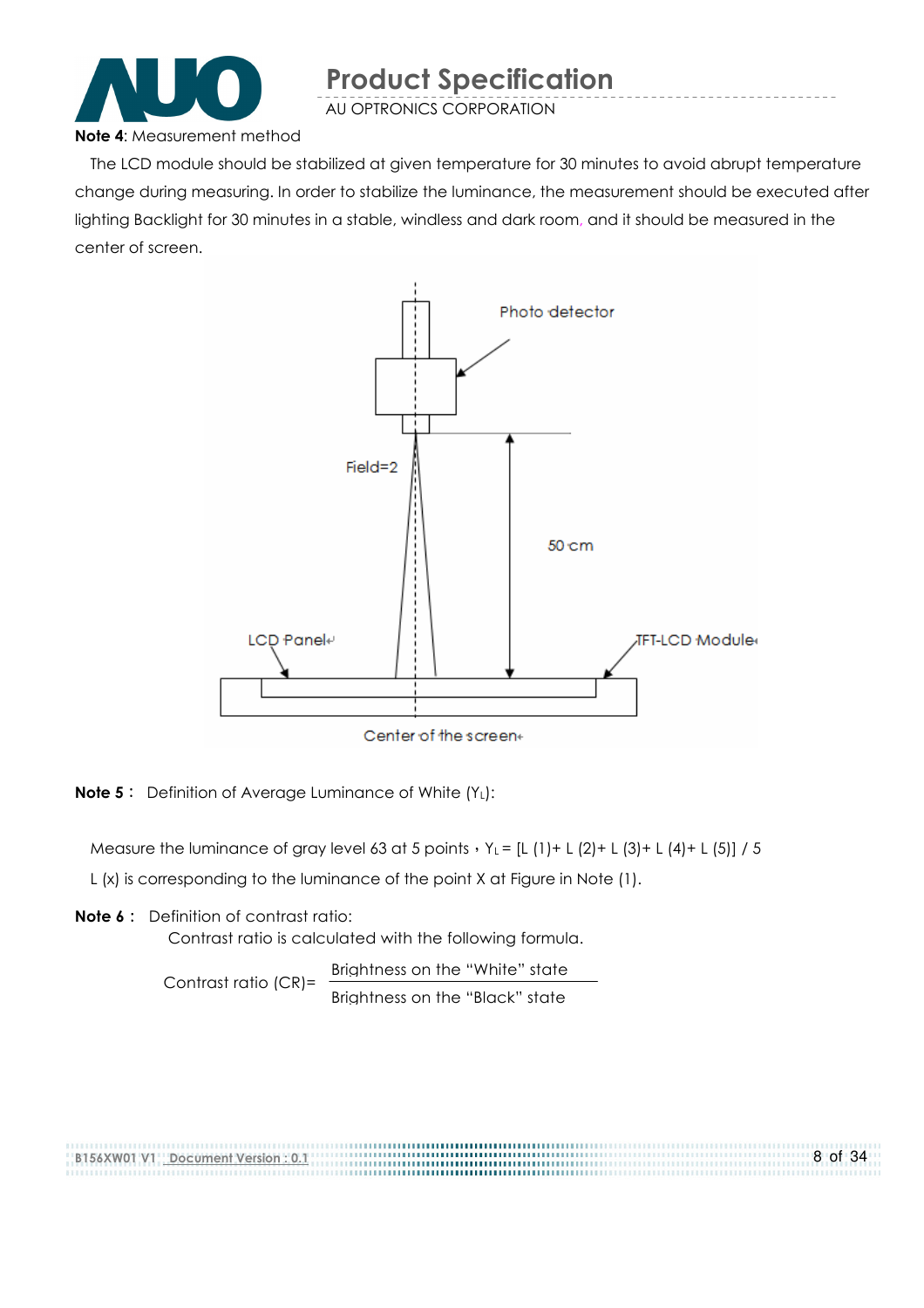

AU OPTRONICS CORPORATION

#### Note 4: Measurement method

The LCD module should be stabilized at given temperature for 30 minutes to avoid abrupt temperature change during measuring. In order to stabilize the luminance, the measurement should be executed after lighting Backlight for 30 minutes in a stable, windless and dark room, and it should be measured in the center of screen.



**Note 5:** Definition of Average Luminance of White  $(Y_L)$ :

Measure the luminance of gray level 63 at 5 points  $Y_L = [L (1) + L (2) + L (3) + L (4) + L (5)] / 5$ L (x) is corresponding to the luminance of the point X at Figure in Note (1).

Note 6: Definition of contrast ratio: Contrast ratio is calculated with the following formula.

> Contrast ratio (CR)= Brightness on the "White" state Brightness on the "Black" state

8 of 34 B156XW01 V1 Document Version : 0.1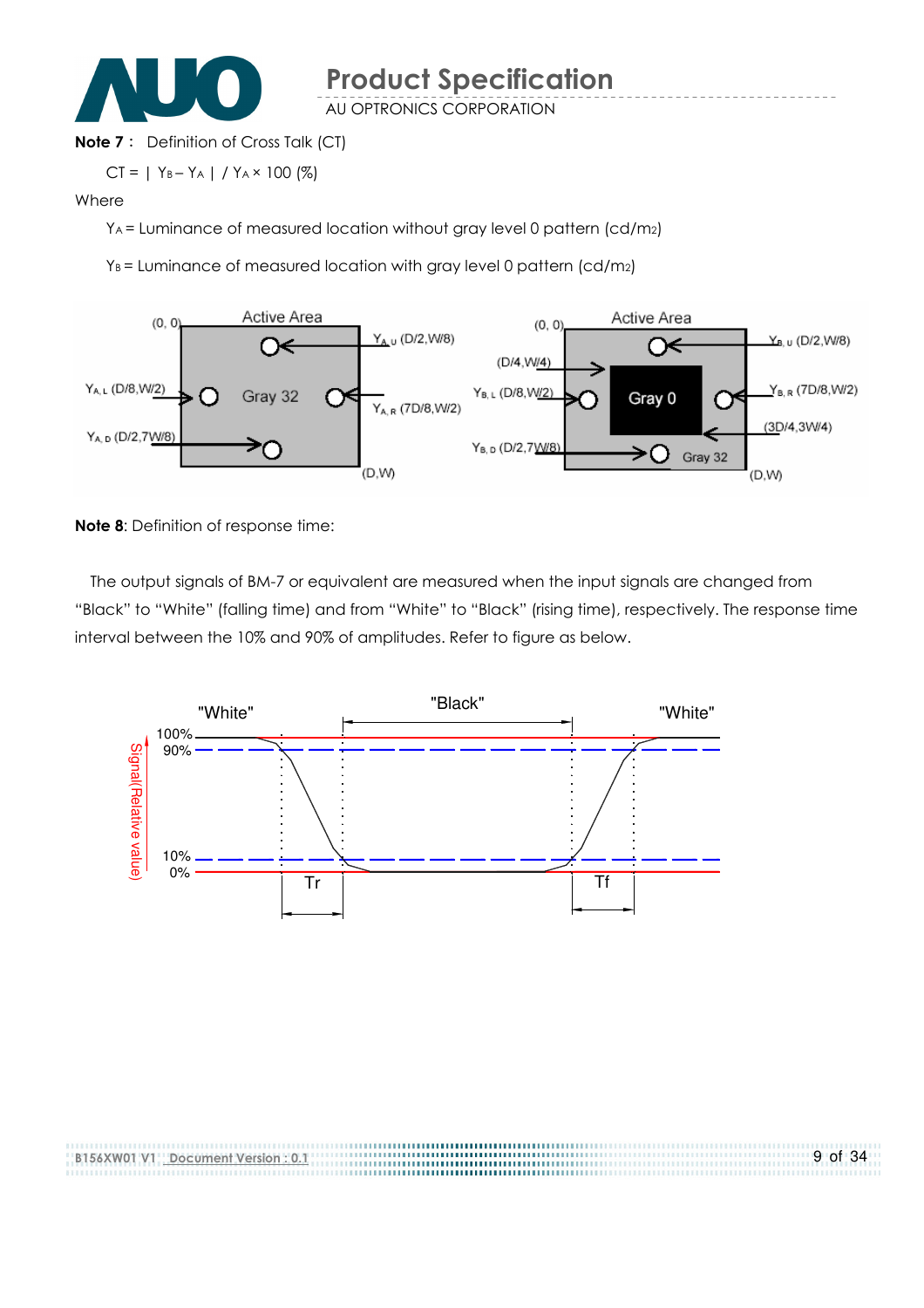

AU OPTRONICS CORPORATION

#### **Note 7:** Definition of Cross Talk (CT)

$$
CT = | Y_B - Y_A | / Y_A \times 100 (%)
$$

#### Where

YA = Luminance of measured location without gray level 0 pattern (cd/m2)

 $Y_B$  = Luminance of measured location with gray level 0 pattern (cd/m<sub>2</sub>)



Note 8: Definition of response time:

The output signals of BM-7 or equivalent are measured when the input signals are changed from "Black" to "White" (falling time) and from "White" to "Black" (rising time), respectively. The response time interval between the 10% and 90% of amplitudes. Refer to figure as below.



| B156XW01 V1 Document Version: 0.1 | 9 of 34 |
|-----------------------------------|---------|
|                                   |         |
|                                   |         |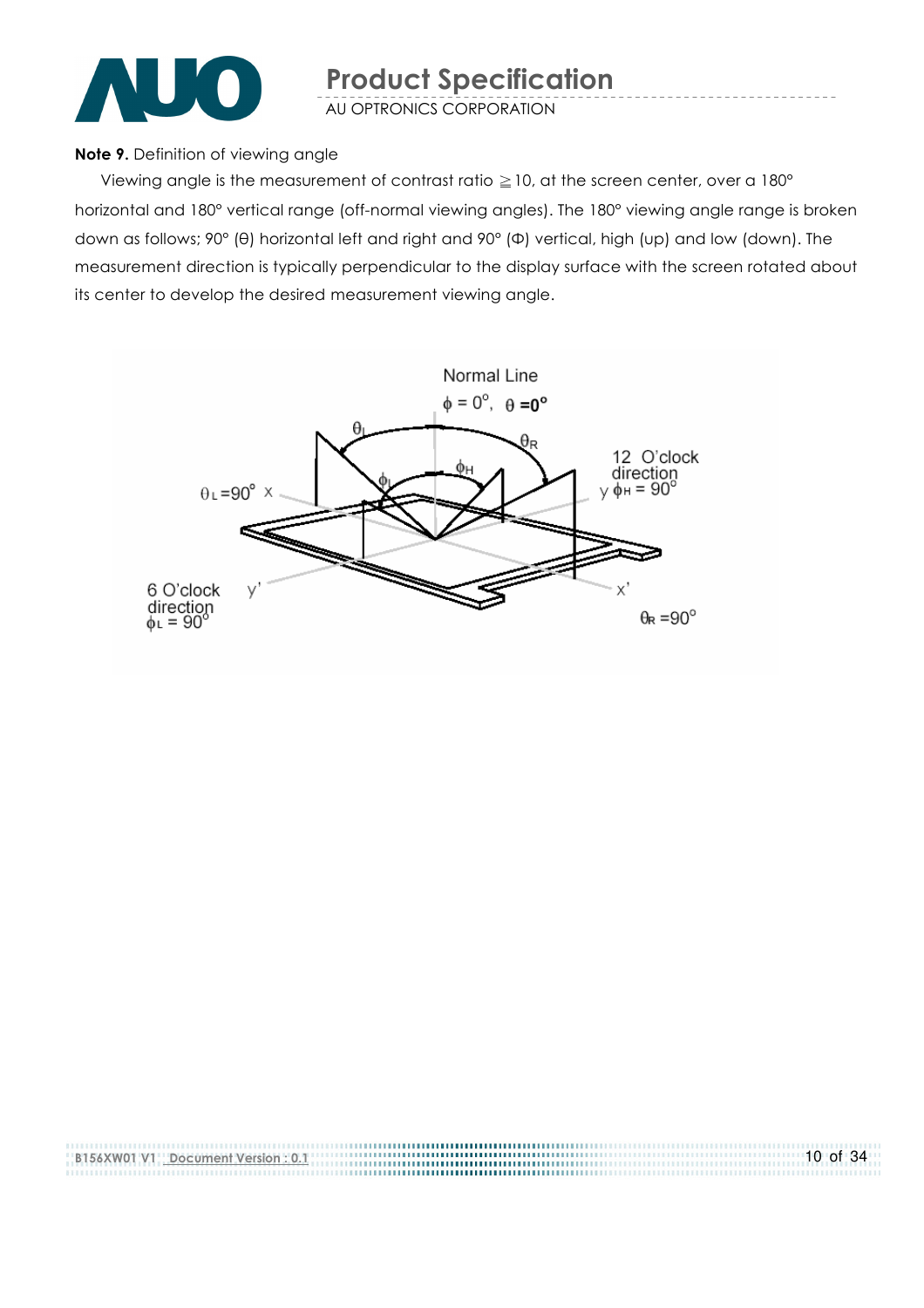

AU OPTRONICS CORPORATION

#### Note 9. Definition of viewing angle

Viewing angle is the measurement of contrast ratio  $\geq$  10, at the screen center, over a 180 $^{\circ}$ horizontal and 180° vertical range (off-normal viewing angles). The 180° viewing angle range is broken down as follows; 90° (θ) horizontal left and right and 90° (Φ) vertical, high (up) and low (down). The measurement direction is typically perpendicular to the display surface with the screen rotated about its center to develop the desired measurement viewing angle.



| B156XW01 V1 Document Version: 0.1 | $10$ of 34 |
|-----------------------------------|------------|
|                                   |            |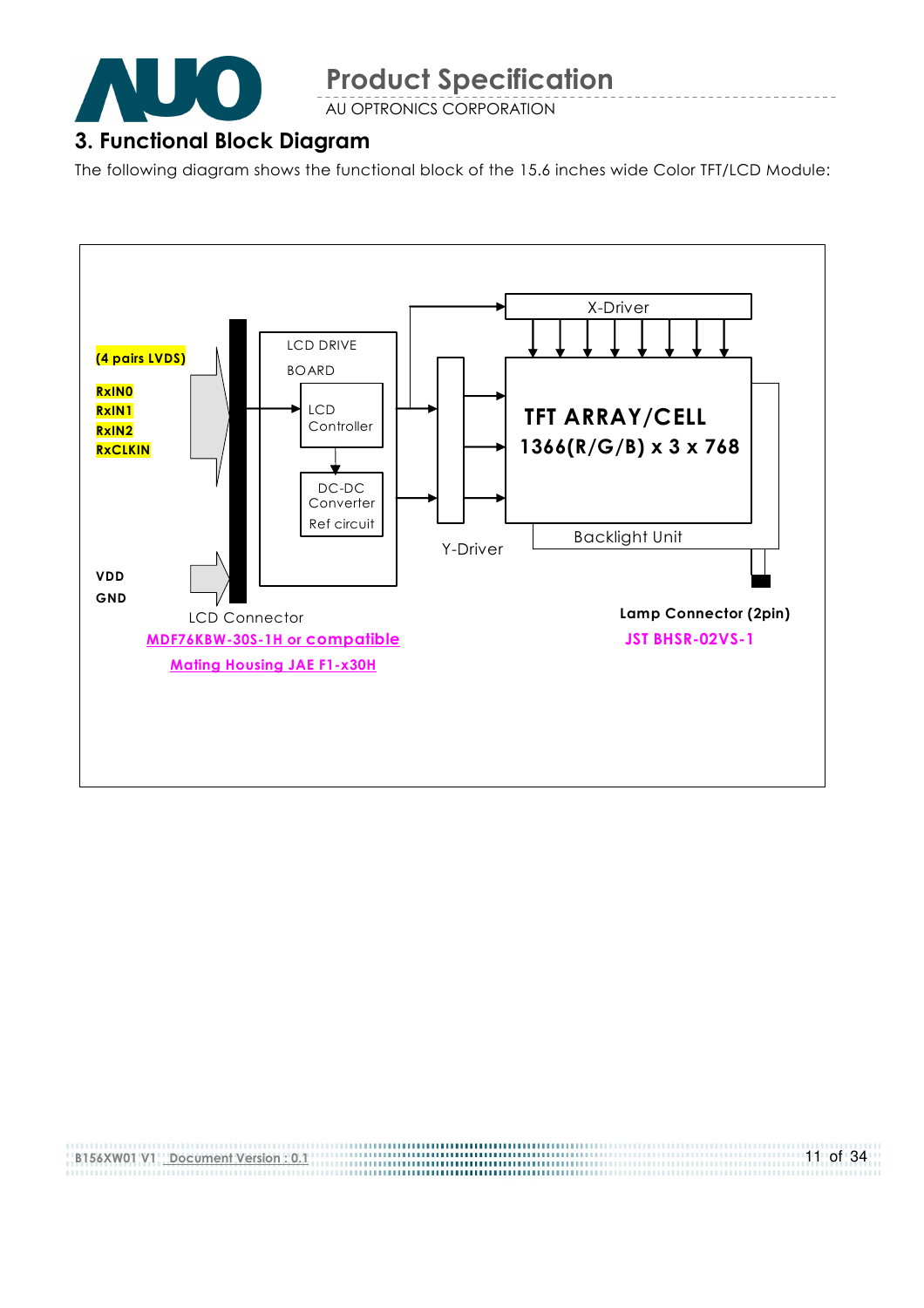

AU OPTRONICS CORPORATION

#### 3. Functional Block Diagram

The following diagram shows the functional block of the 15.6 inches wide Color TFT/LCD Module:



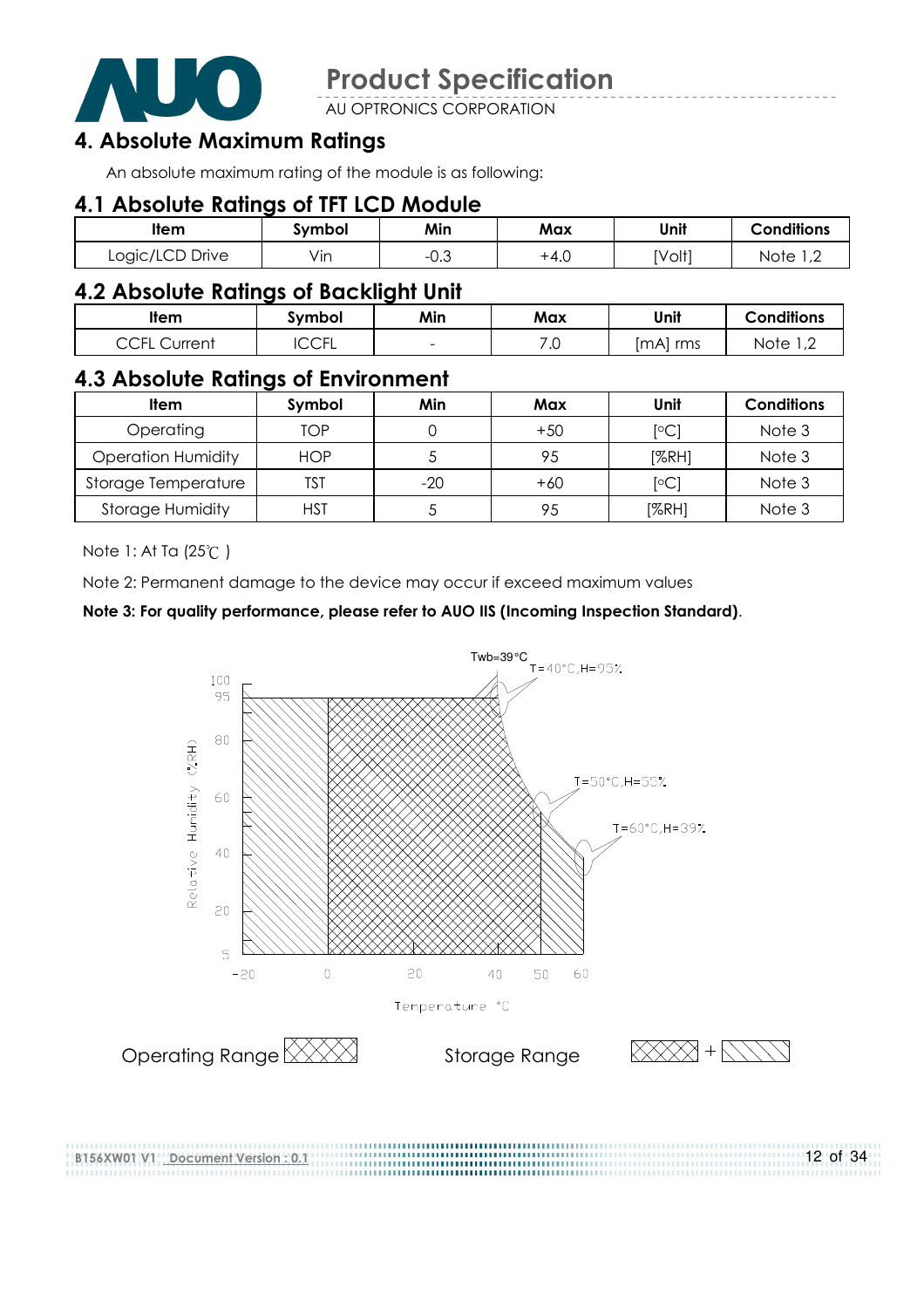

AU OPTRONICS CORPORATION

### 4. Absolute Maximum Ratings

An absolute maximum rating of the module is as following:

#### 4.1 Absolute Ratings of TFT LCD Module

| <b>Item</b>     | symbol           | Min                   | Max  | Unit   | <b>Conditions</b>                       |
|-----------------|------------------|-----------------------|------|--------|-----------------------------------------|
| Logic/LCD Drive | $\cdot$ .<br>Vın | $\sim$ $\sim$<br>−∪.⊖ | +4.∪ | [Volt] | Note<br>$\overline{1}$ , $\overline{2}$ |

#### 4.2 Absolute Ratings of Backlight Unit

| ltem                                                            | Symbol       | Min                      | Max        | Unit        | <b>Conditions</b>                       |
|-----------------------------------------------------------------|--------------|--------------------------|------------|-------------|-----------------------------------------|
| $\overline{C}$ $\overline{C}$ $\overline{C}$<br>Current<br>◡◡╷∟ | ี∩∩ย<br>◡◡◟◟ | $\overline{\phantom{0}}$ | ⇁ ⌒<br>. ب | rms<br>ImAI | Note<br>$\overline{1}$ , $\overline{2}$ |

#### 4.3 Absolute Ratings of Environment

| Item                      | Symbol     | Min   | Max   | Unit             | <b>Conditions</b> |
|---------------------------|------------|-------|-------|------------------|-------------------|
| Operating                 | TOP        |       | $+50$ | <sup>[o</sup> C] | Note 3            |
| <b>Operation Humidity</b> | <b>HOP</b> |       | 95    | [%RH]            | Note 3            |
| Storage Temperature       | TST        | $-20$ | $+60$ | $\mathsf{[°C]}$  | Note 3            |
| <b>Storage Humidity</b>   | HST        |       | 95    | [%RH]            | Note 3            |

Note 1: At Ta (25°C)

B156XW01 V1 Document Version : 0.1

Note 2: Permanent damage to the device may occur if exceed maximum values

#### Note 3: For quality performance, please refer to AUO IIS (Incoming Inspection Standard).



12 of 34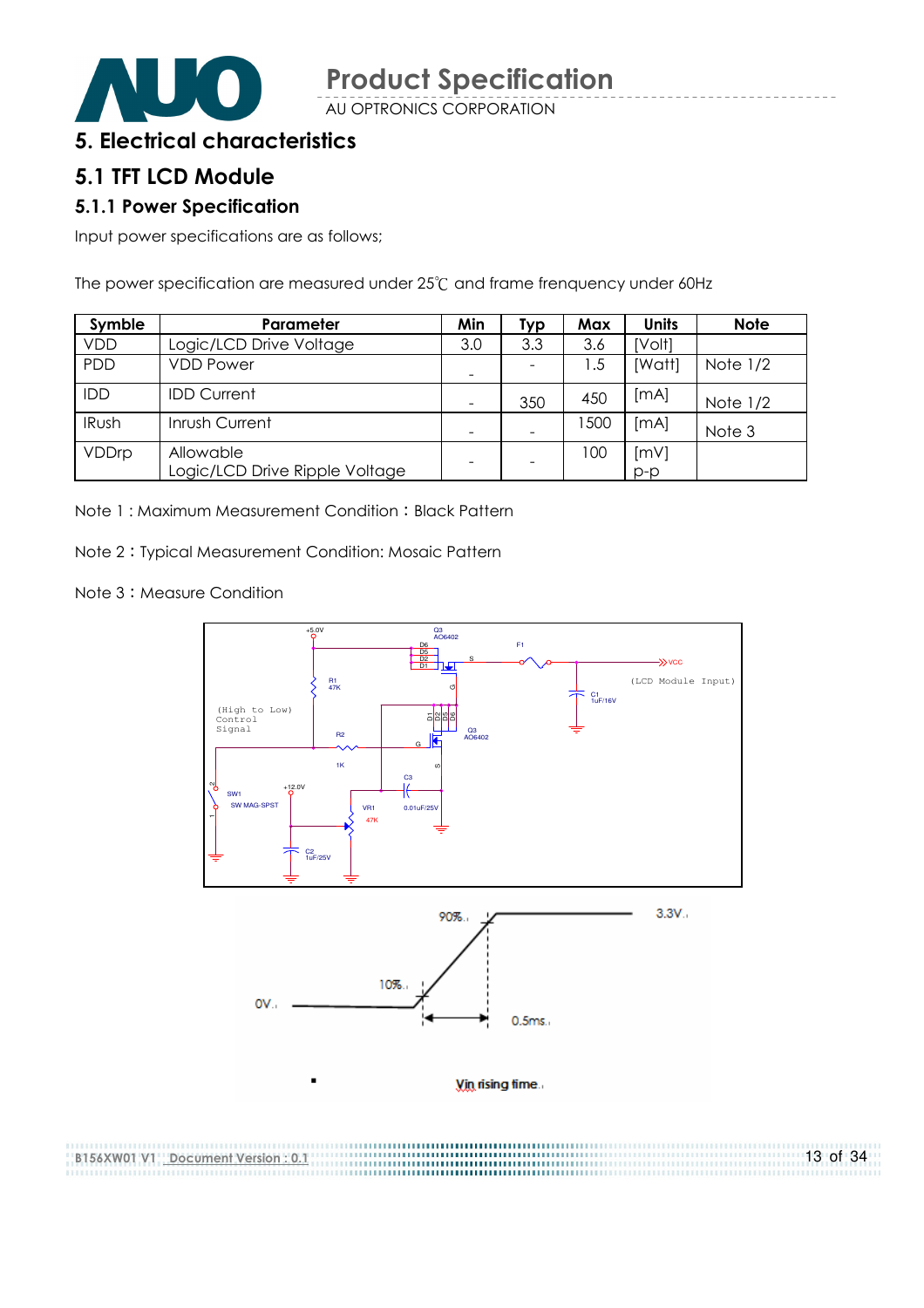

AU OPTRONICS CORPORATION

#### 5. Electrical characteristics

#### 5.1 TFT LCD Module

#### 5.1.1 Power Specification

Input power specifications are as follows;

The power specification are measured under 25°C and frame frenquency under 60Hz

| Symble       | Parameter                                   | Min                      | Typ | Max  | <b>Units</b>  | <b>Note</b> |
|--------------|---------------------------------------------|--------------------------|-----|------|---------------|-------------|
| <b>VDD</b>   | Logic/LCD Drive Voltage                     | 3.0                      | 3.3 | 3.6  | [Volt]        |             |
| <b>PDD</b>   | <b>VDD Power</b>                            | $\overline{\phantom{a}}$ |     | l .5 | [Watt]        | Note $1/2$  |
| IDD          | <b>IDD Current</b>                          | -                        | 350 | 450  | [mA]          | Note $1/2$  |
| <b>IRush</b> | Inrush Current                              | $\qquad \qquad$          |     | 1500 | [MA]          | Note 3      |
| VDDrp        | Allowable<br>Logic/LCD Drive Ripple Voltage |                          |     | 100  | [mV]<br>$p-p$ |             |

Note 1: Maximum Measurement Condition: Black Pattern

Note 2 Typical Measurement Condition: Mosaic Pattern

Note 3: Measure Condition

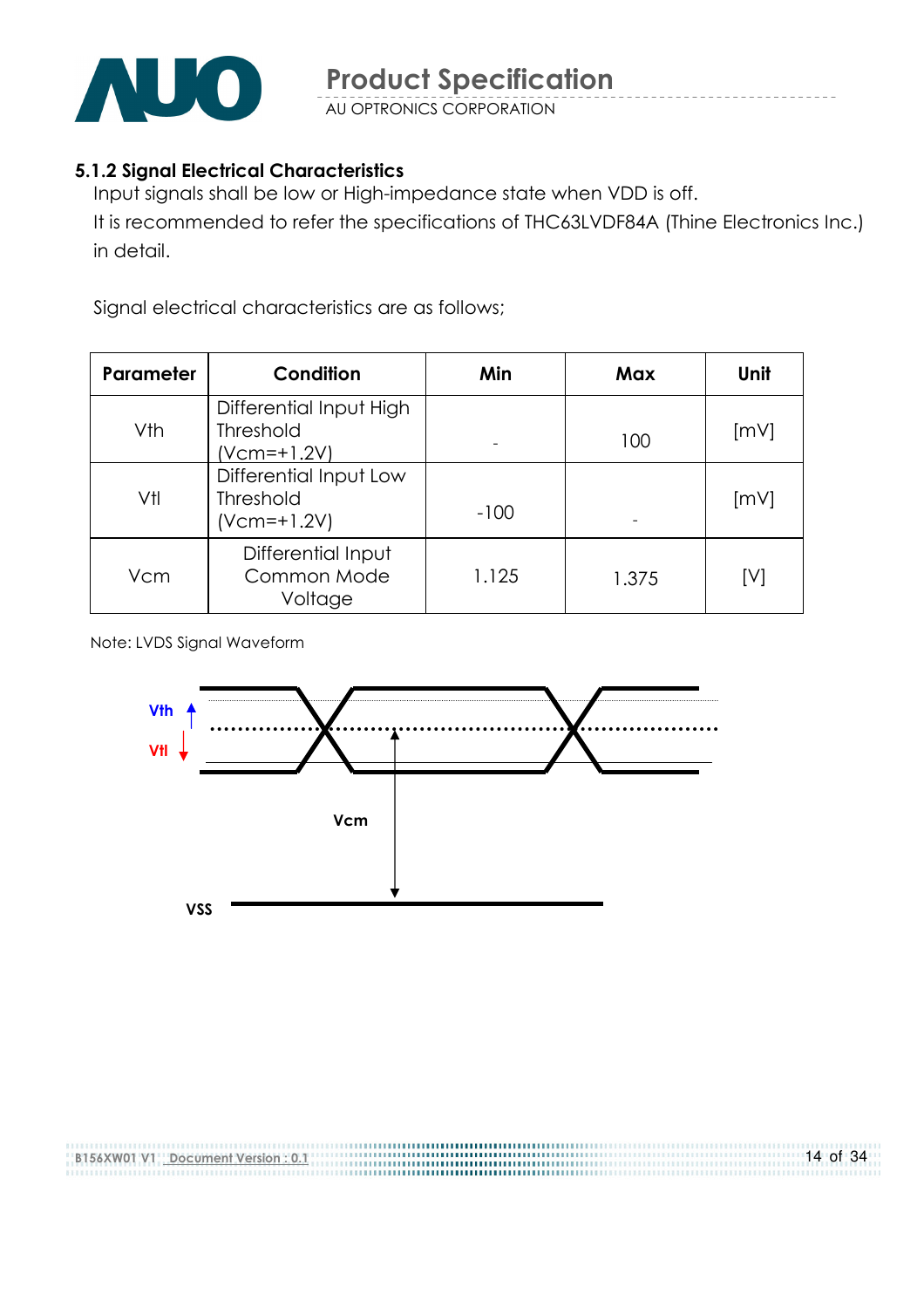

AU OPTRONICS CORPORATION

#### 5.1.2 Signal Electrical Characteristics

Input signals shall be low or High-impedance state when VDD is off. It is recommended to refer the specifications of THC63LVDF84A (Thine Electronics Inc.) in detail.

Signal electrical characteristics are as follows;

| Parameter | Condition                                                    | Min    | Max   | Unit |
|-----------|--------------------------------------------------------------|--------|-------|------|
| Vth       | Differential Input High<br><b>Threshold</b><br>$(Vcm=+1.2V)$ |        | 100   | [mV] |
| Vtl       | Differential Input Low<br><b>Threshold</b><br>$(Vcm=+1.2V)$  | $-100$ |       | [mV] |
| Vcm       | Differential Input<br>Common Mode<br>Voltage                 | 1.125  | 1.375 | [V]  |

Note: LVDS Signal Waveform

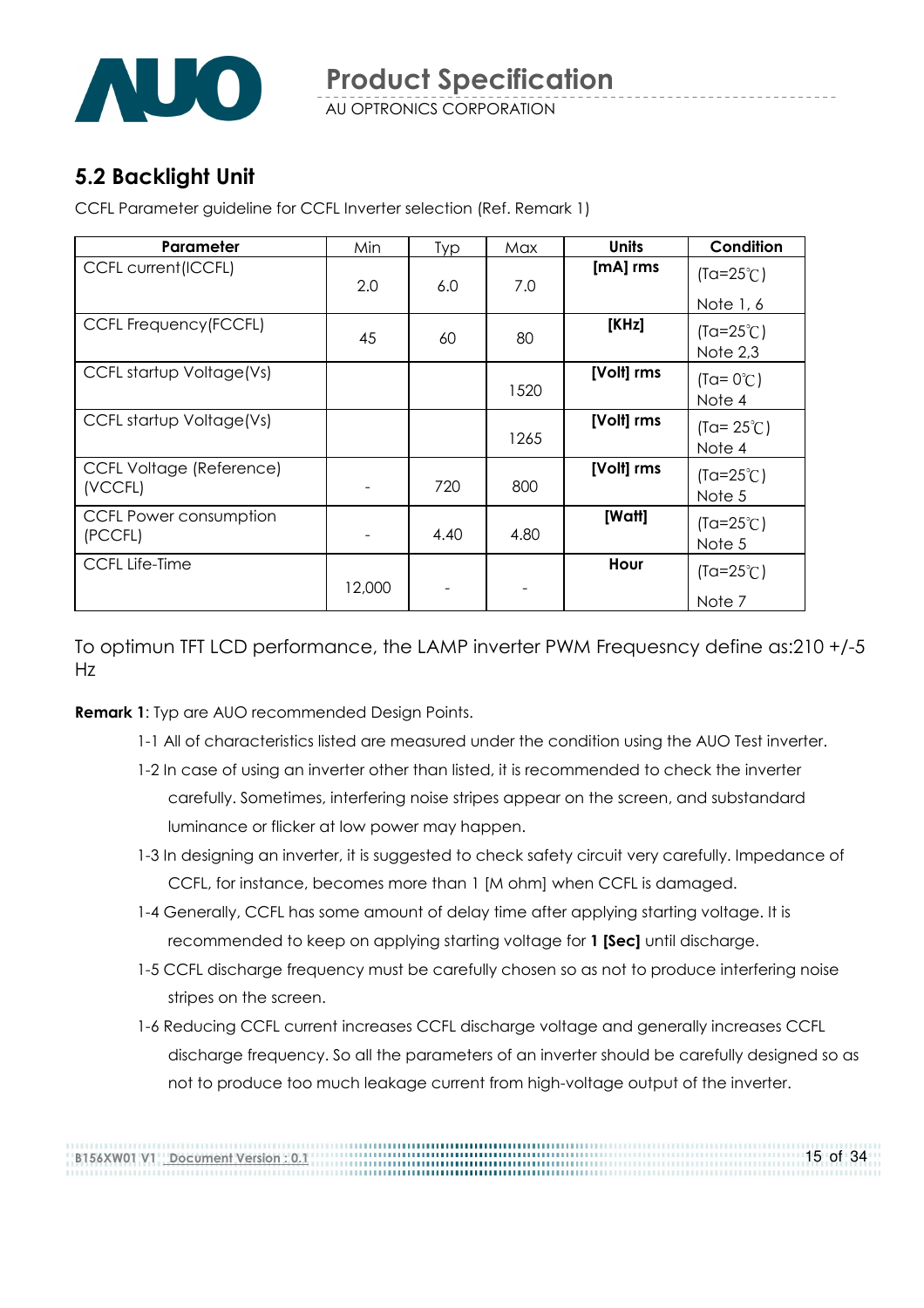

### 5.2 Backlight Unit

CCFL Parameter guideline for CCFL Inverter selection (Ref. Remark 1)

| Parameter                                  | Min    | <b>Typ</b> | Max  | <b>Units</b> | Condition                      |
|--------------------------------------------|--------|------------|------|--------------|--------------------------------|
| <b>CCFL current (ICCFL)</b>                | 2.0    | 6.0        | 7.0  | [mA] rms     | $(Ta=25^{\circ}C)$             |
|                                            |        |            |      |              | Note 1, 6                      |
| <b>CCFL Frequency (FCCFL)</b>              | 45     | 60         | 80   | [KHz]        | $(Ta=25^{\circ}C)$<br>Note 2,3 |
| CCFL startup Voltage(Vs)                   |        |            | 1520 | [Volt] rms   | $(Ta = 0^{\circ}C)$<br>Note 4  |
| CCFL startup Voltage(Vs)                   |        |            | 1265 | [Volt] rms   | $(Ta = 25^{\circ}C)$<br>Note 4 |
| <b>CCFL Voltage (Reference)</b><br>(VCCFL) |        | 720        | 800  | [Volt] rms   | $(Ta=25^{\circ}C)$<br>Note 5   |
| <b>CCFL Power consumption</b><br>(PCCFL)   |        | 4.40       | 4.80 | [Watt]       | $(Ta=25^{\circ}C)$<br>Note 5   |
| <b>CCFL Life-Time</b>                      | 12,000 |            |      | Hour         | $(Ta=25^{\circ}C)$             |
|                                            |        |            |      |              | Note 7                         |

To optimun TFT LCD performance, the LAMP inverter PWM Frequesncy define as:210 +/-5 Hz

**Remark 1:** Typ are AUO recommended Design Points.

- 1-1 All of characteristics listed are measured under the condition using the AUO Test inverter.
- 1-2 In case of using an inverter other than listed, it is recommended to check the inverter carefully. Sometimes, interfering noise stripes appear on the screen, and substandard luminance or flicker at low power may happen.
- 1-3 In designing an inverter, it is suggested to check safety circuit very carefully. Impedance of CCFL, for instance, becomes more than 1 [M ohm] when CCFL is damaged.
- 1-4 Generally, CCFL has some amount of delay time after applying starting voltage. It is recommended to keep on applying starting voltage for 1 [Sec] until discharge.
- 1-5 CCFL discharge frequency must be carefully chosen so as not to produce interfering noise stripes on the screen.
- 1-6 Reducing CCFL current increases CCFL discharge voltage and generally increases CCFL discharge frequency. So all the parameters of an inverter should be carefully designed so as not to produce too much leakage current from high-voltage output of the inverter.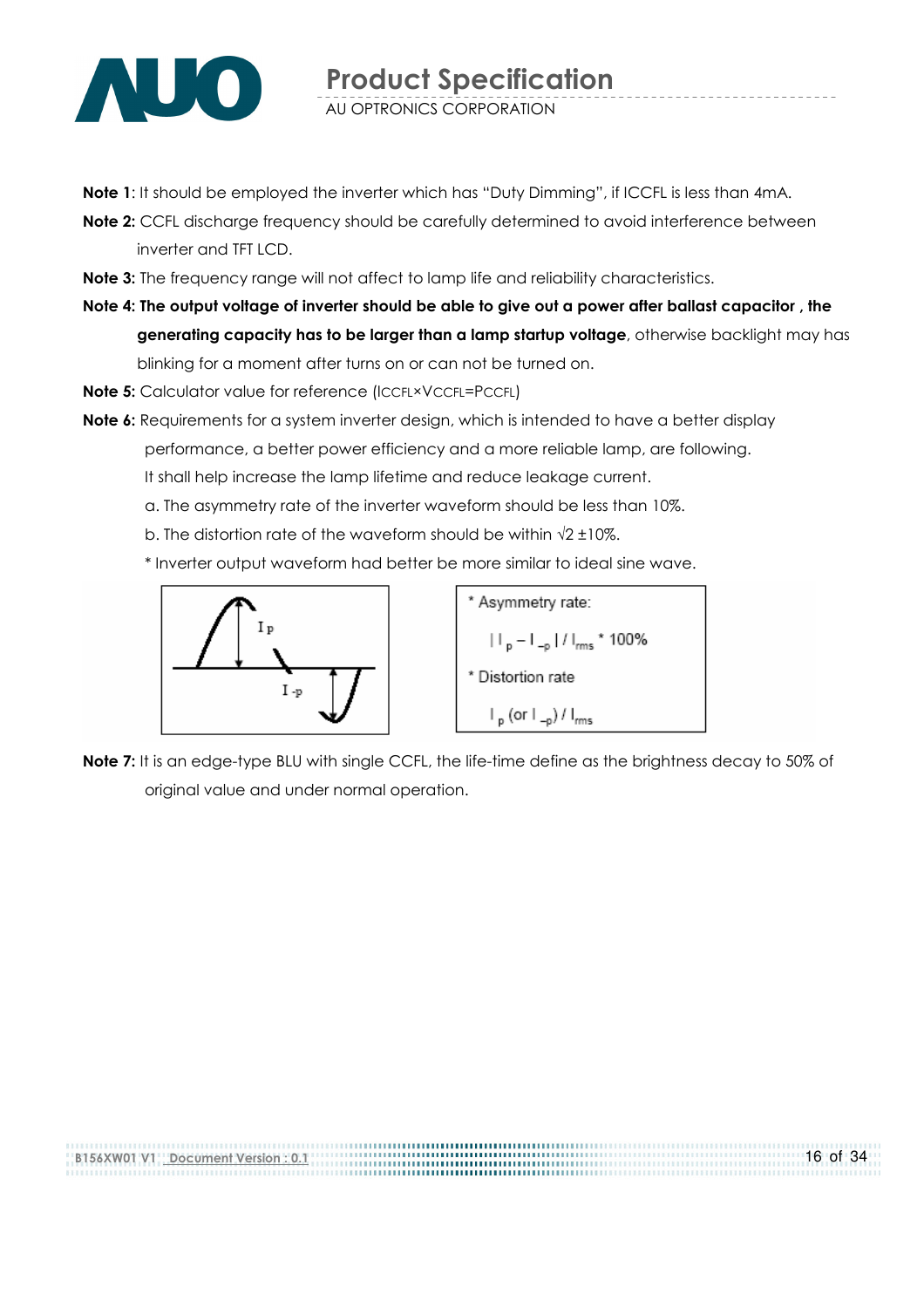

- Note 1: It should be employed the inverter which has "Duty Dimming", if ICCFL is less than 4mA.
- Note 2: CCFL discharge frequency should be carefully determined to avoid interference between inverter and TFT LCD.
- Note 3: The frequency range will not affect to lamp life and reliability characteristics.
- Note 4: The output voltage of inverter should be able to give out a power after ballast capacitor , the generating capacity has to be larger than a lamp startup voltage, otherwise backlight may has blinking for a moment after turns on or can not be turned on.
- Note 5: Calculator value for reference (ICCFL×VCCFL=PCCFL)
- Note 6: Requirements for a system inverter design, which is intended to have a better display performance, a better power efficiency and a more reliable lamp, are following. It shall help increase the lamp lifetime and reduce leakage current.
	- a. The asymmetry rate of the inverter waveform should be less than 10%.
	- b. The distortion rate of the waveform should be within  $\sqrt{2} \pm 10\%$ .
	- \* Inverter output waveform had better be more similar to ideal sine wave.



\* Asymmetry rate:  $|||_{p} - |||_{-p} ||/||_{rms}$  \* 100% \* Distortion rate  $\vdash_{\mathsf{p}}$  (or  $\vdash_{\neg \mathsf{p}}$ ) /  $\vdash_{\mathsf{rms}}$ 

Note 7: It is an edge-type BLU with single CCFL, the life-time define as the brightness decay to 50% of original value and under normal operation.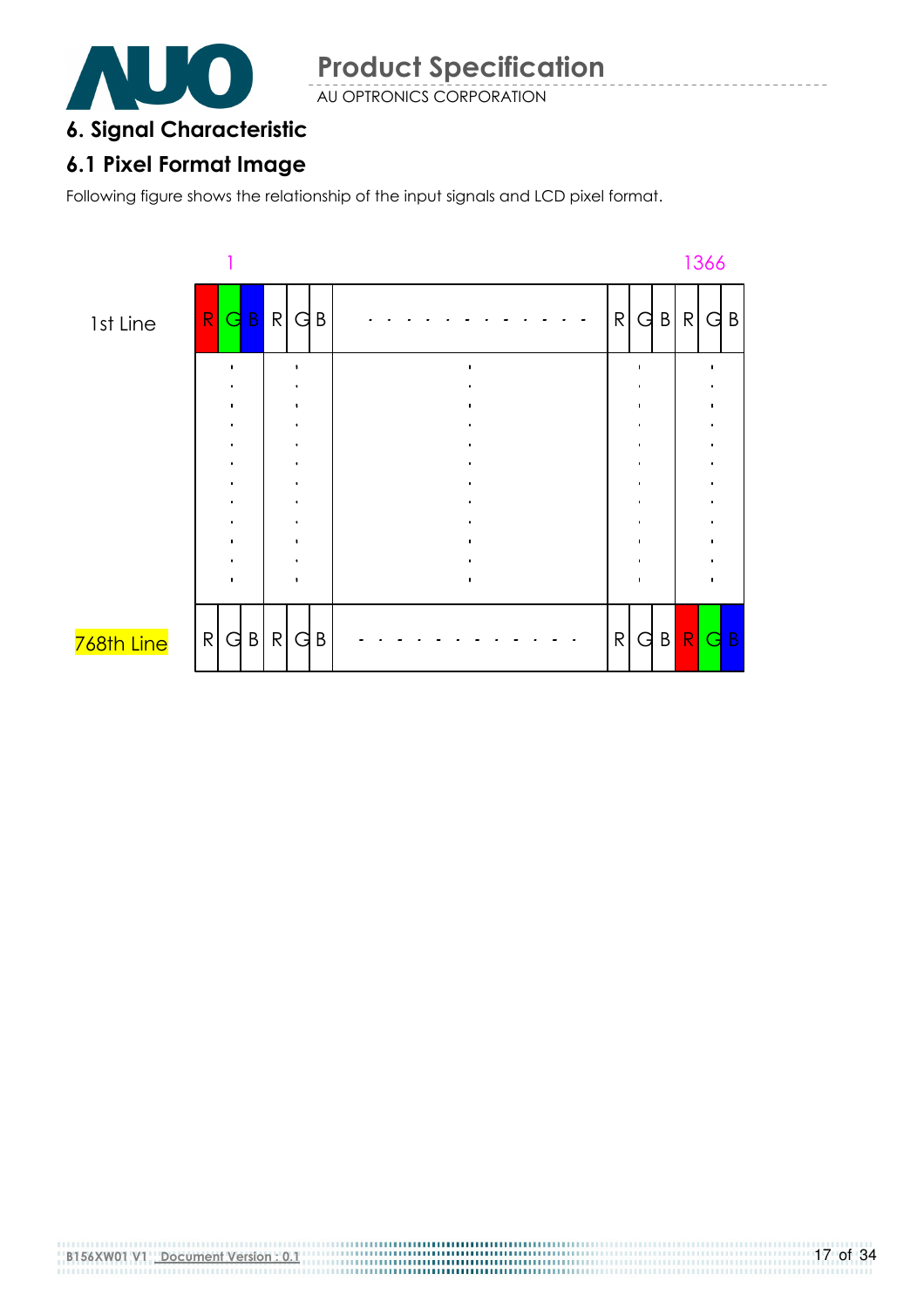

AU OPTRONICS CORPORATION

### 6. Signal Characteristic

### 6.1 Pixel Format Image

Following figure shows the relationship of the input signals and LCD pixel format.

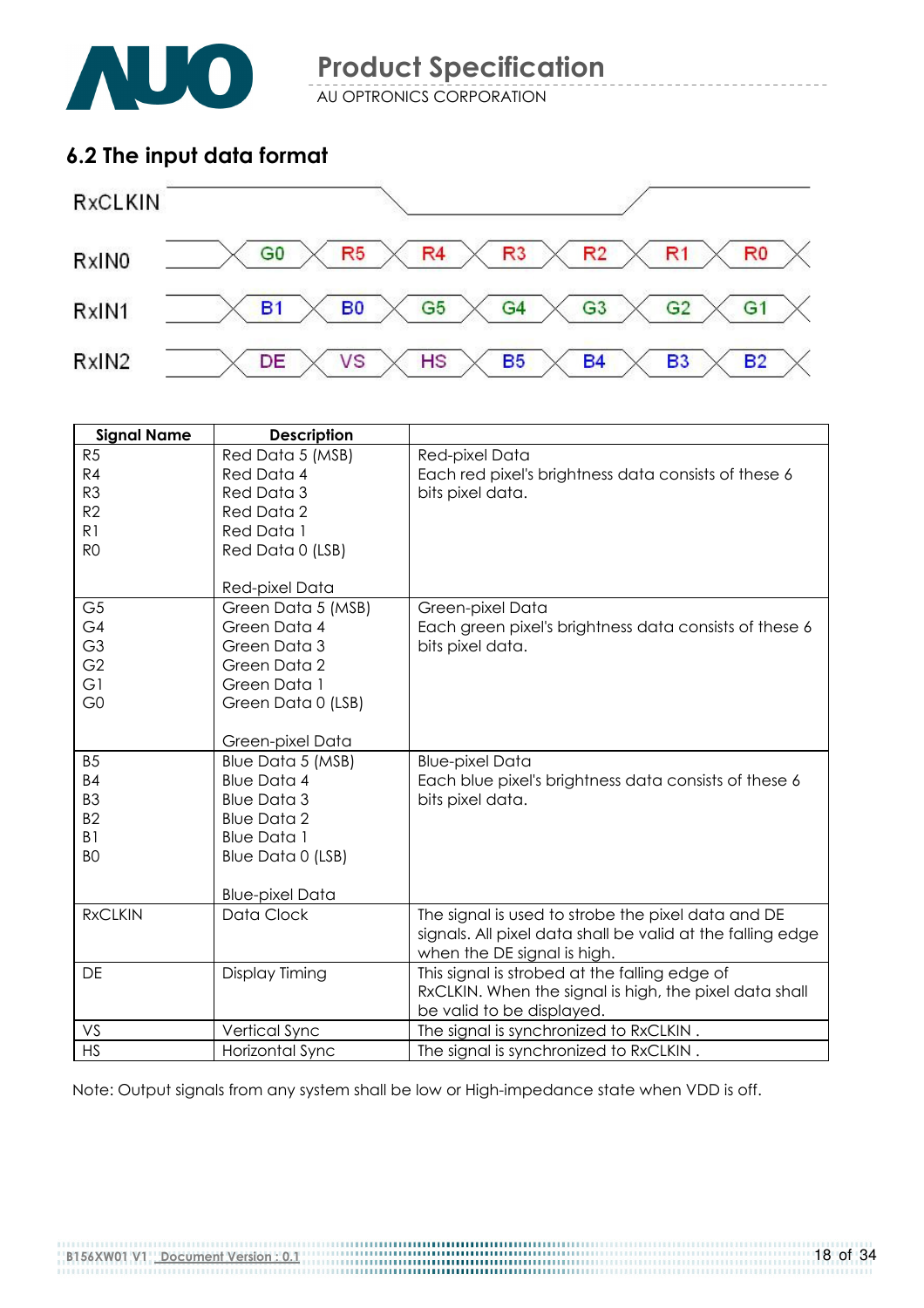

AU OPTRONICS CORPORATION

### 6.2 The input data format



| <b>Signal Name</b> | <b>Description</b>     |                                                            |
|--------------------|------------------------|------------------------------------------------------------|
| R <sub>5</sub>     | Red Data 5 (MSB)       | Red-pixel Data                                             |
| R4                 | Red Data 4             | Each red pixel's brightness data consists of these 6       |
| R <sub>3</sub>     | Red Data 3             | bits pixel data.                                           |
| R <sub>2</sub>     | Red Data 2             |                                                            |
| R <sub>1</sub>     | Red Data 1             |                                                            |
| R <sub>O</sub>     | Red Data 0 (LSB)       |                                                            |
|                    |                        |                                                            |
|                    | Red-pixel Data         |                                                            |
| G <sub>5</sub>     | Green Data 5 (MSB)     | Green-pixel Data                                           |
| G4                 | Green Data 4           | Each green pixel's brightness data consists of these 6     |
| G <sub>3</sub>     | Green Data 3           | bits pixel data.                                           |
| G <sub>2</sub>     | Green Data 2           |                                                            |
| G1                 | Green Data 1           |                                                            |
| G <sub>0</sub>     | Green Data 0 (LSB)     |                                                            |
|                    |                        |                                                            |
|                    | Green-pixel Data       |                                                            |
| B <sub>5</sub>     | Blue Data 5 (MSB)      | <b>Blue-pixel Data</b>                                     |
| <b>B4</b>          | <b>Blue Data 4</b>     | Each blue pixel's brightness data consists of these 6      |
| B <sub>3</sub>     | <b>Blue Data 3</b>     | bits pixel data.                                           |
| B <sub>2</sub>     | <b>Blue Data 2</b>     |                                                            |
| B <sub>1</sub>     | <b>Blue Data 1</b>     |                                                            |
| B <sub>O</sub>     | Blue Data 0 (LSB)      |                                                            |
|                    |                        |                                                            |
|                    | <b>Blue-pixel Data</b> |                                                            |
| <b>RxCLKIN</b>     | Data Clock             | The signal is used to strobe the pixel data and DE         |
|                    |                        | signals. All pixel data shall be valid at the falling edge |
|                    |                        | when the DE signal is high.                                |
| DE                 | Display Timing         | This signal is strobed at the falling edge of              |
|                    |                        | RxCLKIN. When the signal is high, the pixel data shall     |
|                    |                        | be valid to be displayed.                                  |
| VS                 | Vertical Sync          | The signal is synchronized to RxCLKIN.                     |
| <b>HS</b>          | Horizontal Sync        | The signal is synchronized to RxCLKIN.                     |

Note: Output signals from any system shall be low or High-impedance state when VDD is off.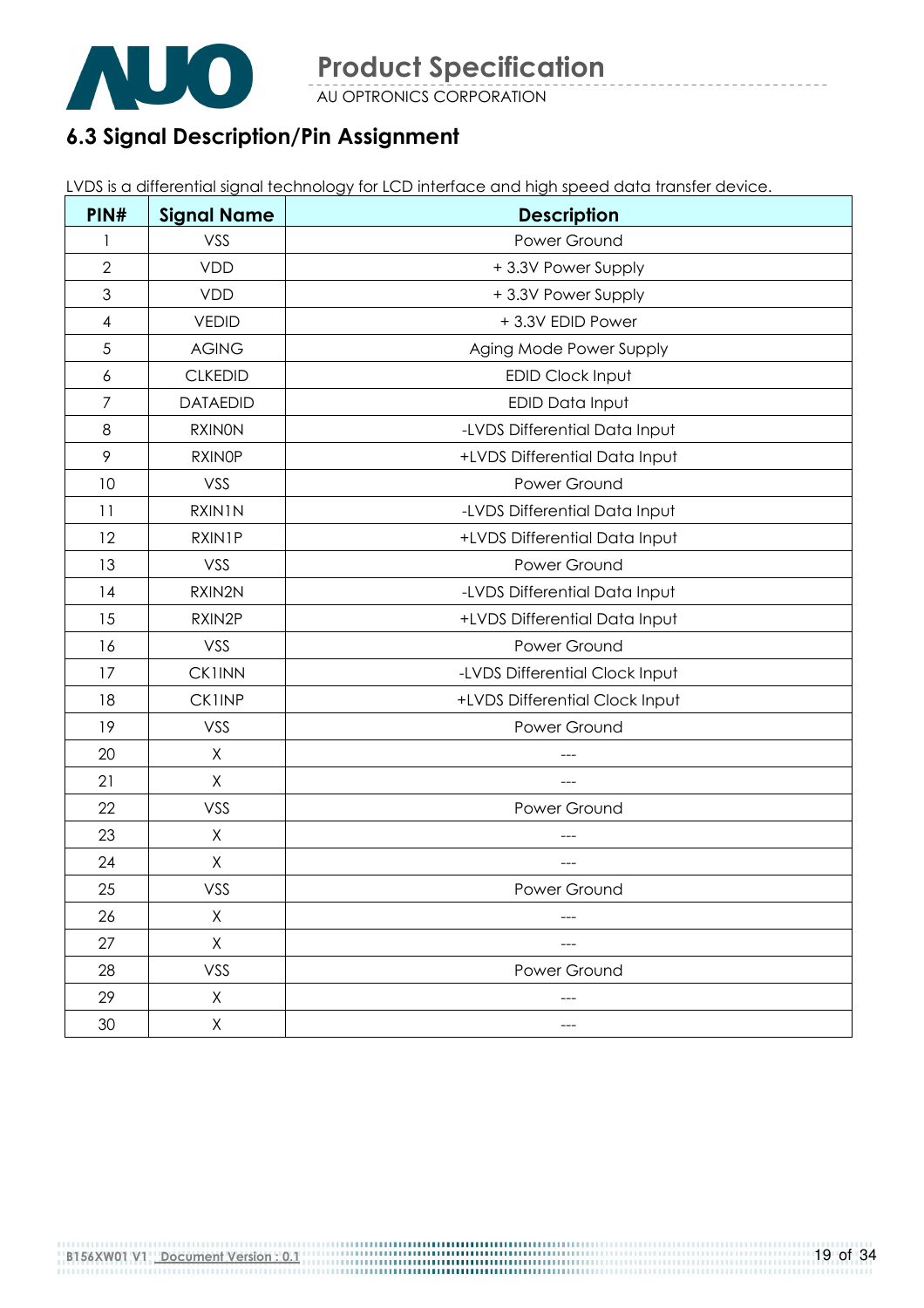

AU OPTRONICS CORPORATION

### 6.3 Signal Description/Pin Assignment

LVDS is a differential signal technology for LCD interface and high speed data transfer device.

| PIN#           | <b>Signal Name</b> | <b>Description</b>             |
|----------------|--------------------|--------------------------------|
| 1              | VSS                | Power Ground                   |
| $\overline{2}$ | <b>VDD</b>         | +3.3V Power Supply             |
| $\mathfrak{Z}$ | <b>VDD</b>         | +3.3V Power Supply             |
| $\overline{4}$ | <b>VEDID</b>       | +3.3V EDID Power               |
| 5              | <b>AGING</b>       | Aging Mode Power Supply        |
| 6              | <b>CLKEDID</b>     | EDID Clock Input               |
| $\overline{7}$ | <b>DATAEDID</b>    | EDID Data Input                |
| 8              | <b>RXINON</b>      | -LVDS Differential Data Input  |
| 9              | <b>RXINOP</b>      | +LVDS Differential Data Input  |
| 10             | VSS                | Power Ground                   |
| 11             | RXIN1N             | -LVDS Differential Data Input  |
| 12             | <b>RXIN1P</b>      | +LVDS Differential Data Input  |
| 13             | VSS                | Power Ground                   |
| 14             | RXIN2N             | -LVDS Differential Data Input  |
| 15             | RXIN2P             | +LVDS Differential Data Input  |
| 16             | VSS                | Power Ground                   |
| 17             | <b>CK1INN</b>      | -LVDS Differential Clock Input |
| 18             | <b>CK1INP</b>      | +LVDS Differential Clock Input |
| 19             | VSS                | Power Ground                   |
| 20             | X                  |                                |
| 21             | X                  | ---                            |
| 22             | VSS                | Power Ground                   |
| 23             | X                  |                                |
| 24             | $\sf X$            |                                |
| 25             | VSS                | Power Ground                   |
| 26             | X                  |                                |
| 27             | X                  |                                |
| 28             | VSS                | Power Ground                   |
| 29             | X                  | $---$                          |
| 30             | X                  |                                |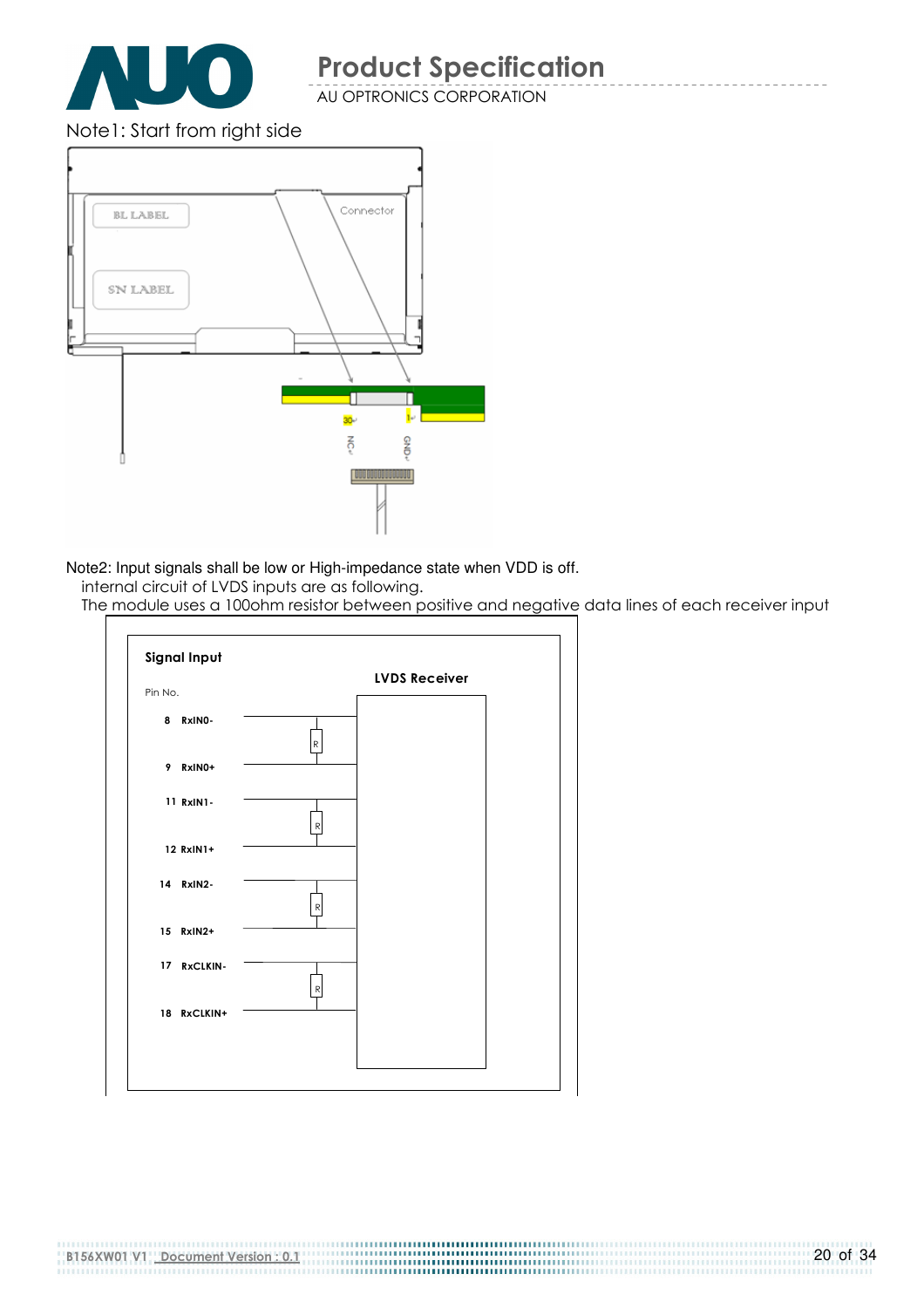

AU OPTRONICS CORPORATION

Note1: Start from right side



Note2: Input signals shall be low or High-impedance state when VDD is off.

internal circuit of LVDS inputs are as following.

The module uses a 100ohm resistor between positive and negative data lines of each receiver input



B156XW01 V1 Document Version : 0.1

-----------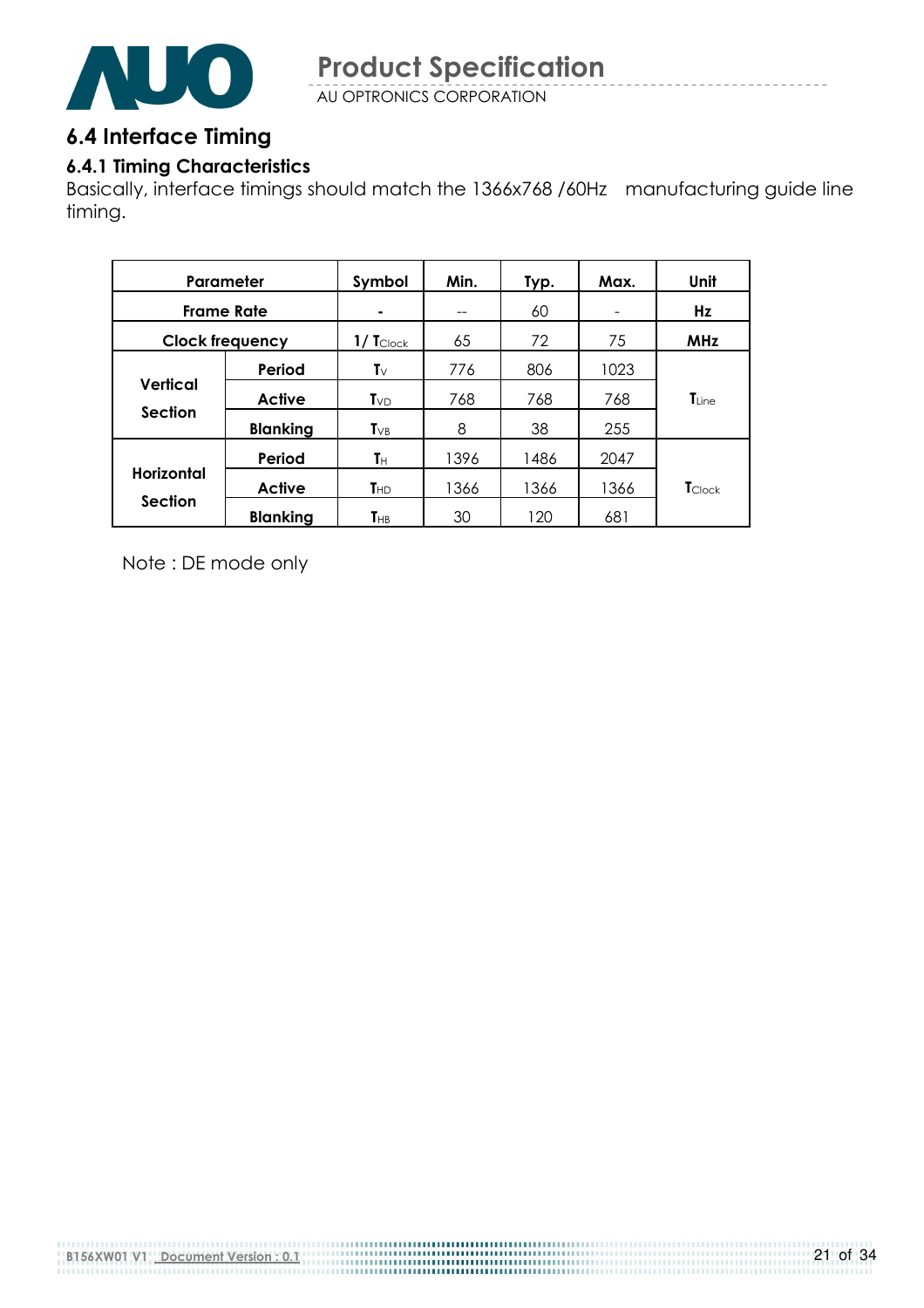

AU OPTRONICS CORPORATION

### 6.4 Interface Timing

#### 6.4.1 Timing Characteristics

Basically, interface timings should match the 1366x768 /60Hz manufacturing guide line timing.

| Parameter                           |                 | Symbol                     | Min. | Typ. | Max. | Unit           |
|-------------------------------------|-----------------|----------------------------|------|------|------|----------------|
| <b>Frame Rate</b>                   |                 | $\blacksquare$             | --   | 60   |      | Hz             |
| <b>Clock frequency</b>              |                 | $1/$ $T_{\text{Clock}}$    | 65   | 72   | 75   | <b>MHz</b>     |
|                                     | Period          | T $\vee$                   | 776  | 806  | 1023 |                |
| Vertical<br><b>Section</b>          | <b>Active</b>   | $T_{VD}$                   | 768  | 768  | 768  | $T_{Line}$     |
|                                     | <b>Blanking</b> | $T_{VB}$                   | 8    | 38   | 255  |                |
|                                     | Period          | Tн                         | 1396 | 1486 | 2047 |                |
| <b>Horizontal</b><br><b>Section</b> | Active          | $T_{HD}$                   | 1366 | 1366 | 1366 | <b>T</b> Clock |
|                                     | <b>Blanking</b> | $\mathsf{T}_{\mathsf{HB}}$ | 30   | 120  | 681  |                |

Note : DE mode only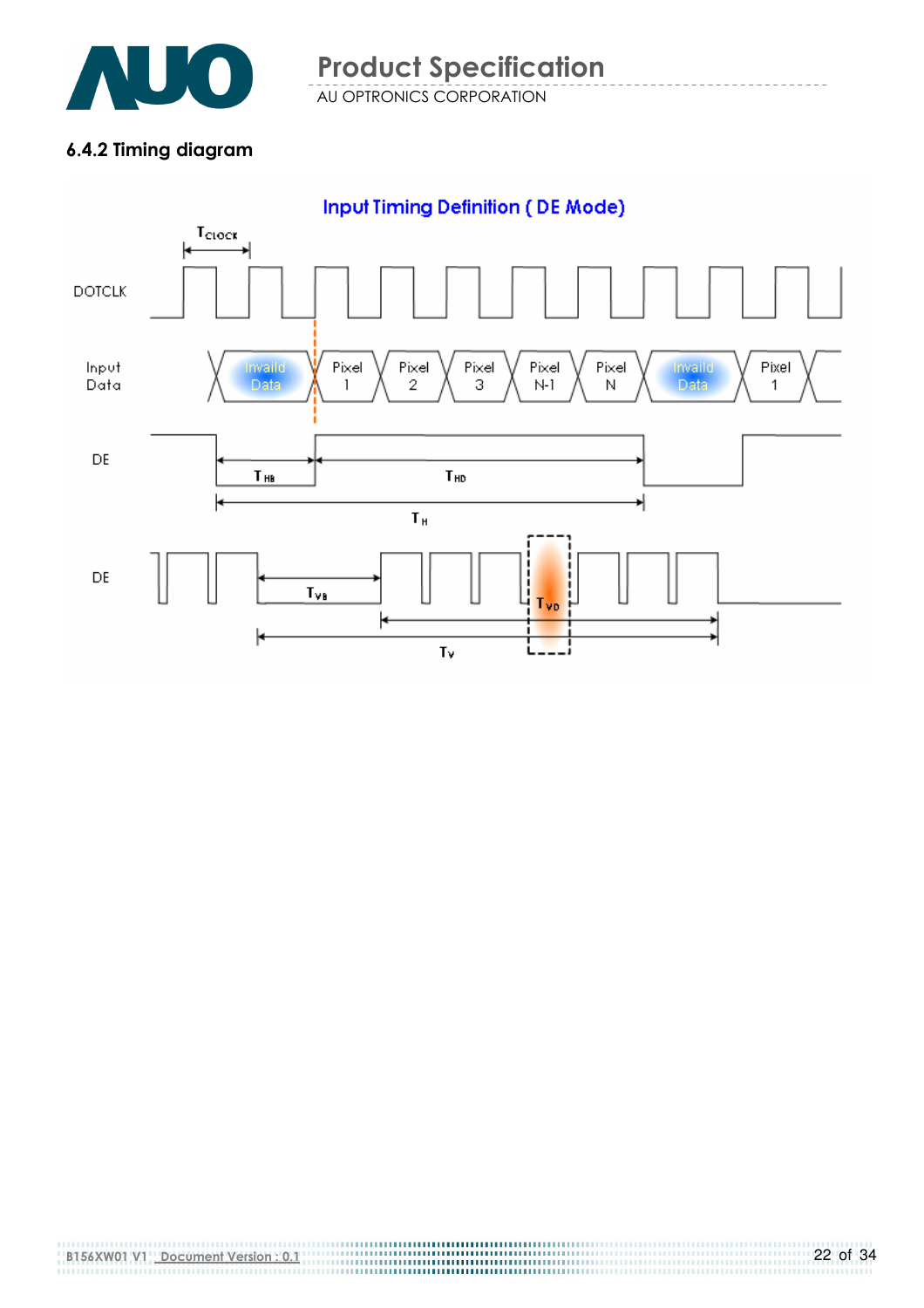

AU OPTRONICS CORPORATION Product Specification

#### 6.4.2 Timing diagram

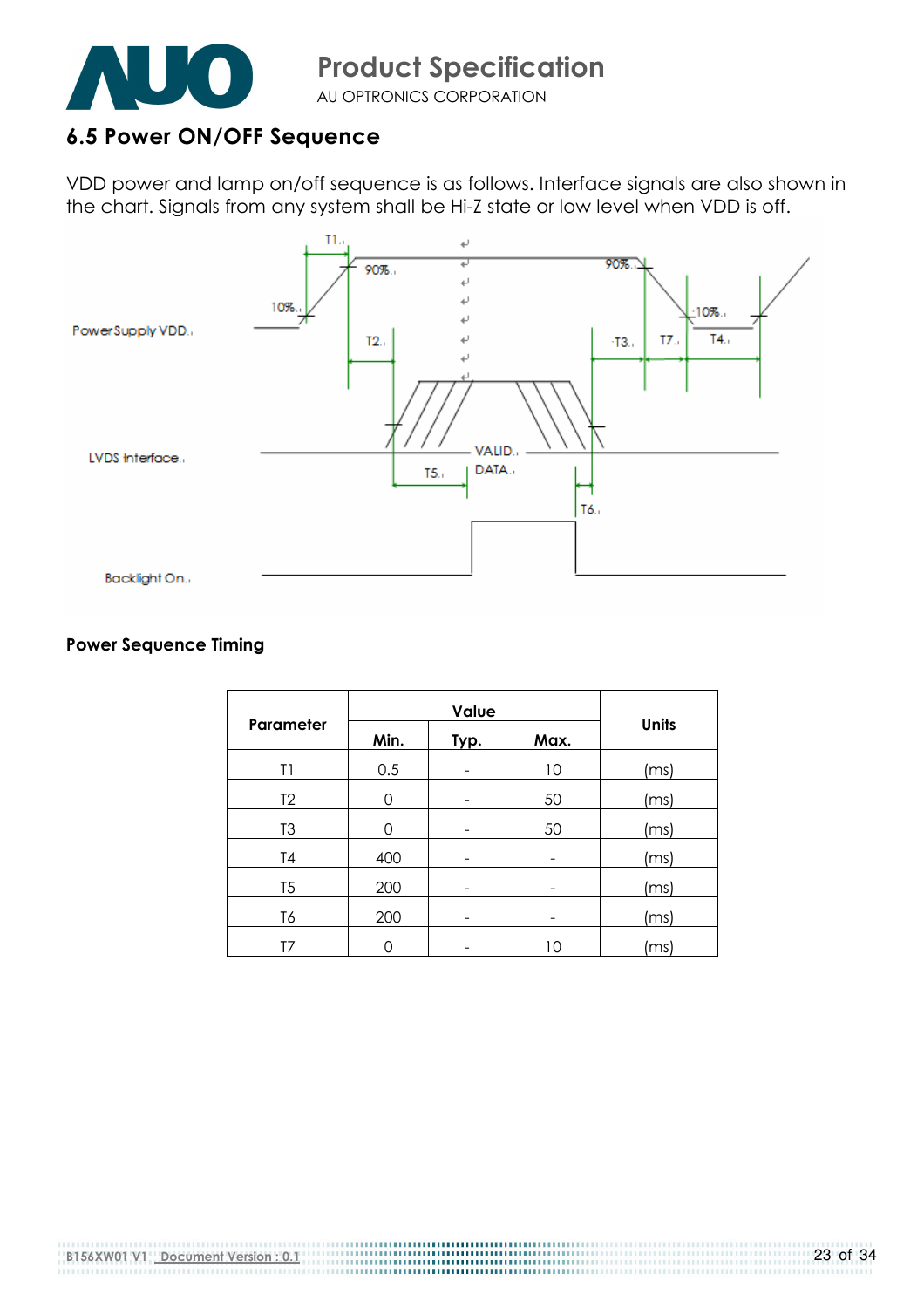

#### 6.5 Power ON/OFF Sequence

VDD power and lamp on/off sequence is as follows. Interface signals are also shown in the chart. Signals from any system shall be Hi-Z state or low level when VDD is off.



#### Power Sequence Timing

| Parameter      | Min. | Typ.<br>Max. |    | <b>Units</b>                             |  |
|----------------|------|--------------|----|------------------------------------------|--|
| T1             | 0.5  |              | 10 | (ms)                                     |  |
| T <sub>2</sub> | 0    |              | 50 | (ms)                                     |  |
| T <sub>3</sub> | 0    |              | 50 | (ms)                                     |  |
| T <sub>4</sub> | 400  |              |    | (ms)                                     |  |
| T <sub>5</sub> | 200  |              |    | (ms)                                     |  |
| T6             | 200  |              |    | (ms)                                     |  |
| T7             |      |              | 10 | $\left\lfloor \mathsf{ms} \right\rfloor$ |  |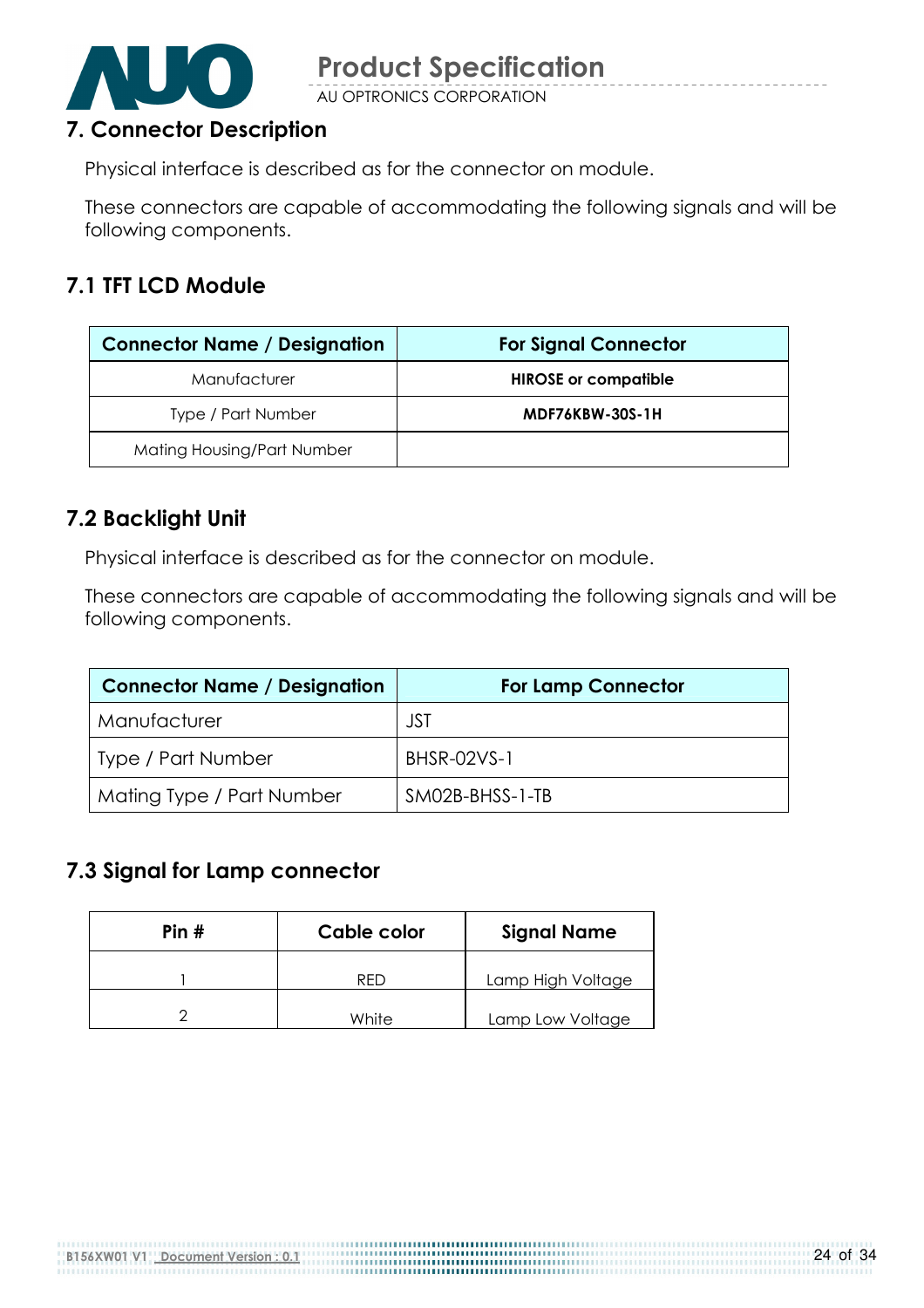

AU OPTRONICS CORPORATION

#### 7. Connector Description

Physical interface is described as for the connector on module.

These connectors are capable of accommodating the following signals and will be following components.

#### 7.1 TFT LCD Module

| <b>Connector Name / Designation</b> | <b>For Signal Connector</b> |
|-------------------------------------|-----------------------------|
| Manufacturer                        | <b>HIROSE or compatible</b> |
| Type / Part Number                  | MDF76KBW-30S-1H             |
| Mating Housing/Part Number          |                             |

#### 7.2 Backlight Unit

Physical interface is described as for the connector on module.

These connectors are capable of accommodating the following signals and will be following components.

| <b>Connector Name / Designation</b> | <b>For Lamp Connector</b> |
|-------------------------------------|---------------------------|
| Manufacturer                        | JST                       |
| <b>Type / Part Number</b>           | <b>BHSR-02VS-1</b>        |
| Mating Type / Part Number           | SM02B-BHSS-1-TB           |

#### 7.3 Signal for Lamp connector

| Pin $#$ | Cable color | <b>Signal Name</b> |  |
|---------|-------------|--------------------|--|
|         | RFD         | Lamp High Voltage  |  |
|         | White       | Lamp Low Voltage   |  |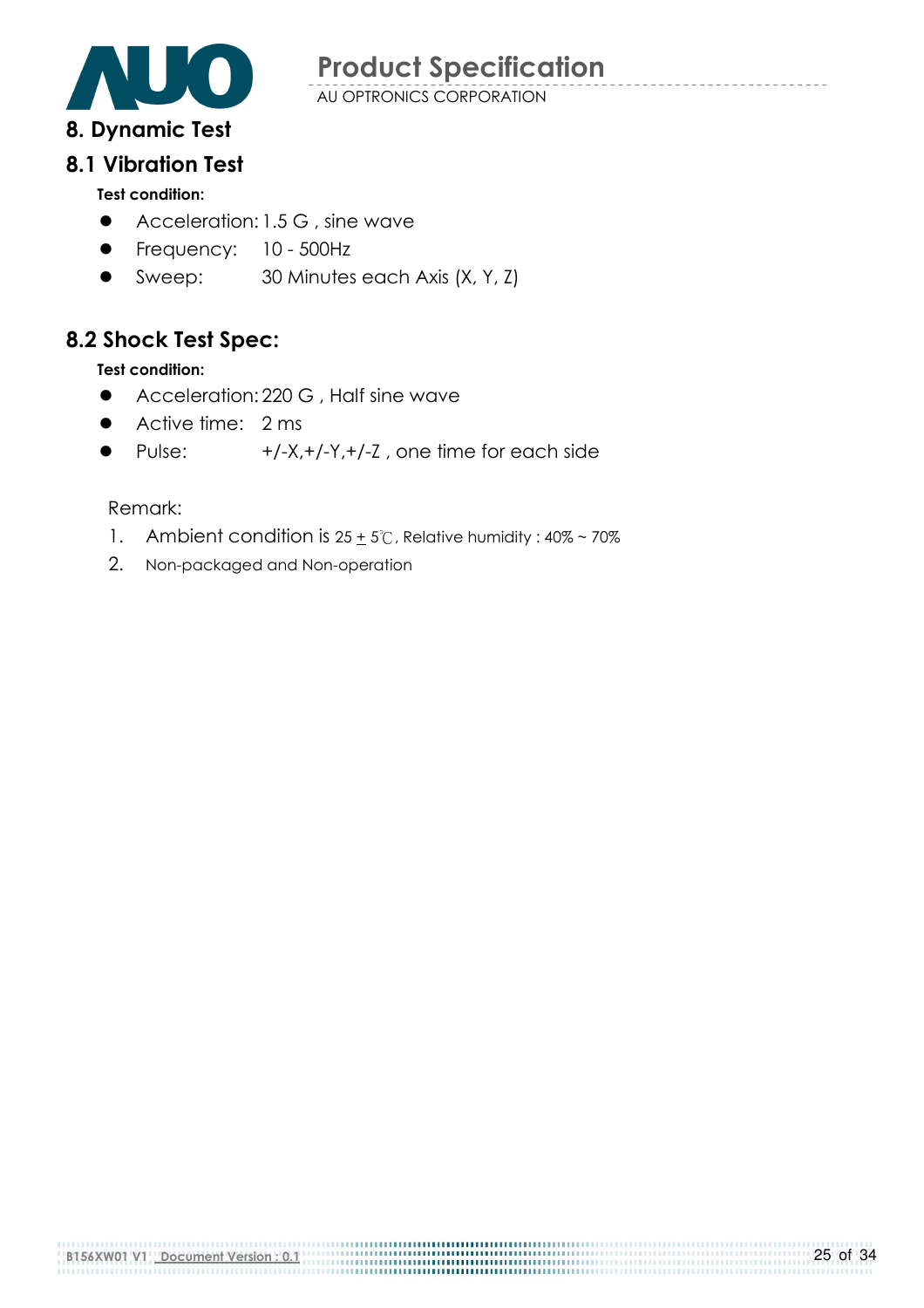

AU OPTRONICS CORPORATION

## 8.1 Vibration Test

#### Test condition:

- Acceleration: 1.5 G, sine wave
- **•** Frequency: 10 500Hz
- Sweep: 30 Minutes each Axis (X, Y, Z)

### 8.2 Shock Test Spec:

#### Test condition:

- Acceleration: 220 G , Half sine wave
- Active time: 2 ms
- Pulse:  $+/-X,+/-Y,+/-Z$ , one time for each side

#### Remark:

- 1. Ambient condition is  $25 \pm 5^\circ$ C, Relative humidity:  $40\% \sim 70\%$
- 2. Non-packaged and Non-operation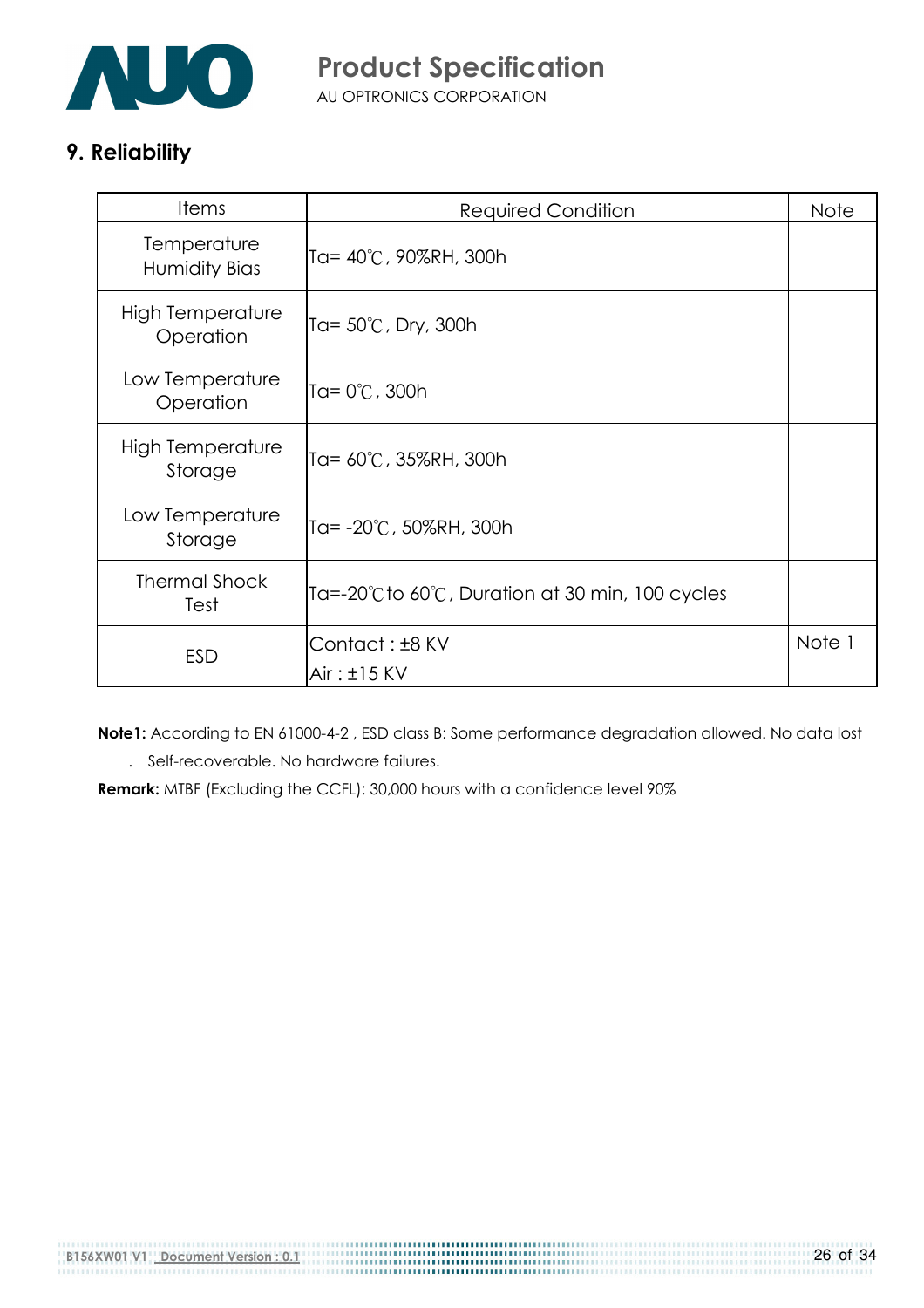

AU OPTRONICS CORPORATION

### 9. Reliability

| <b>Items</b>                       | <b>Required Condition</b>                                              | <b>Note</b> |
|------------------------------------|------------------------------------------------------------------------|-------------|
| Temperature<br>Humidity Bias       | Ta= 40°C, 90%RH, 300h                                                  |             |
| High Temperature<br>Operation      | Ta= $50^{\circ}$ C, Dry, 300h                                          |             |
| Low Temperature<br>Operation       | Ta= 0℃, 300h                                                           |             |
| <b>High Temperature</b><br>Storage | Ta= 60°C, 35%RH, 300h                                                  |             |
| Low Temperature<br>Storage         | Ta= -20°C, 50%RH, 300h                                                 |             |
| <b>Thermal Shock</b><br>Test       | Ta=-20 $^{\circ}$ C to 60 $^{\circ}$ C, Duration at 30 min, 100 cycles |             |
| <b>ESD</b>                         | Contact: ±8 KV<br>$Air: \pm 15$ KV                                     | Note 1      |

 Note1: According to EN 61000-4-2 , ESD class B: Some performance degradation allowed. No data lost . Self-recoverable. No hardware failures.

Remark: MTBF (Excluding the CCFL): 30,000 hours with a confidence level 90%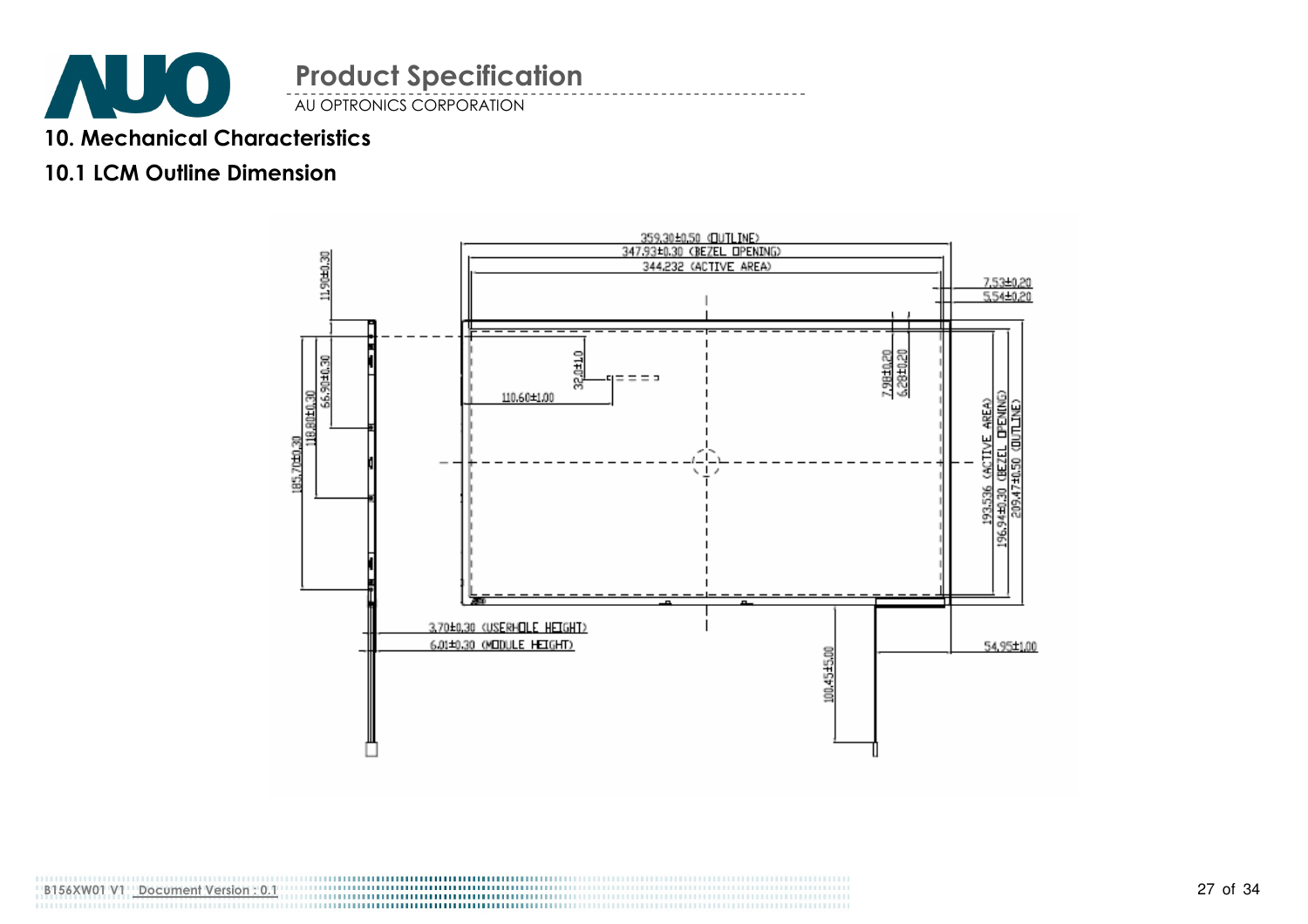

### 10. Mechanical Characteristics

### 10.1 LCM Outline Dimension

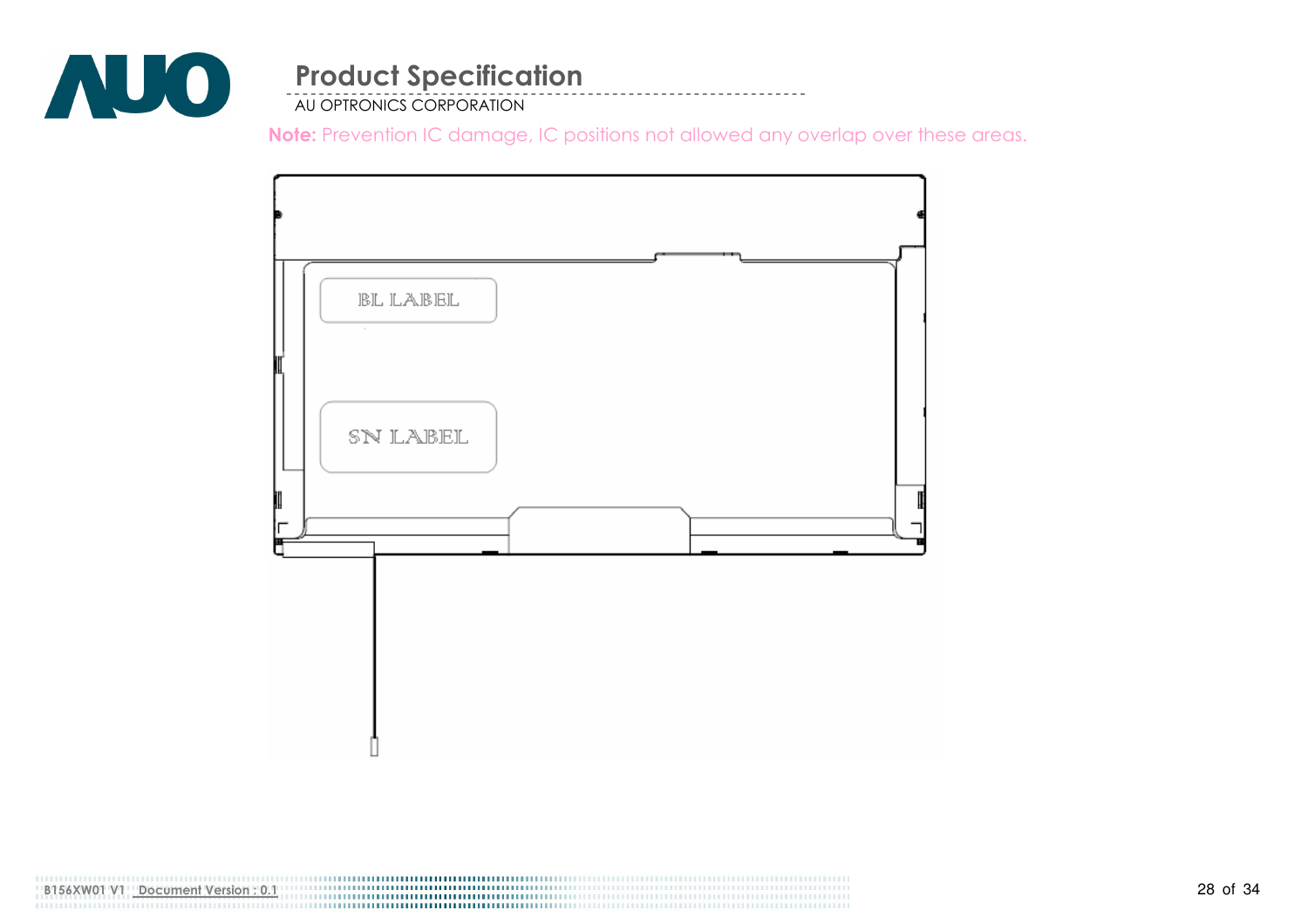

AU OPTRONICS CORPORATION

Note: Prevention IC damage, IC positions not allowed any overlap over these areas.

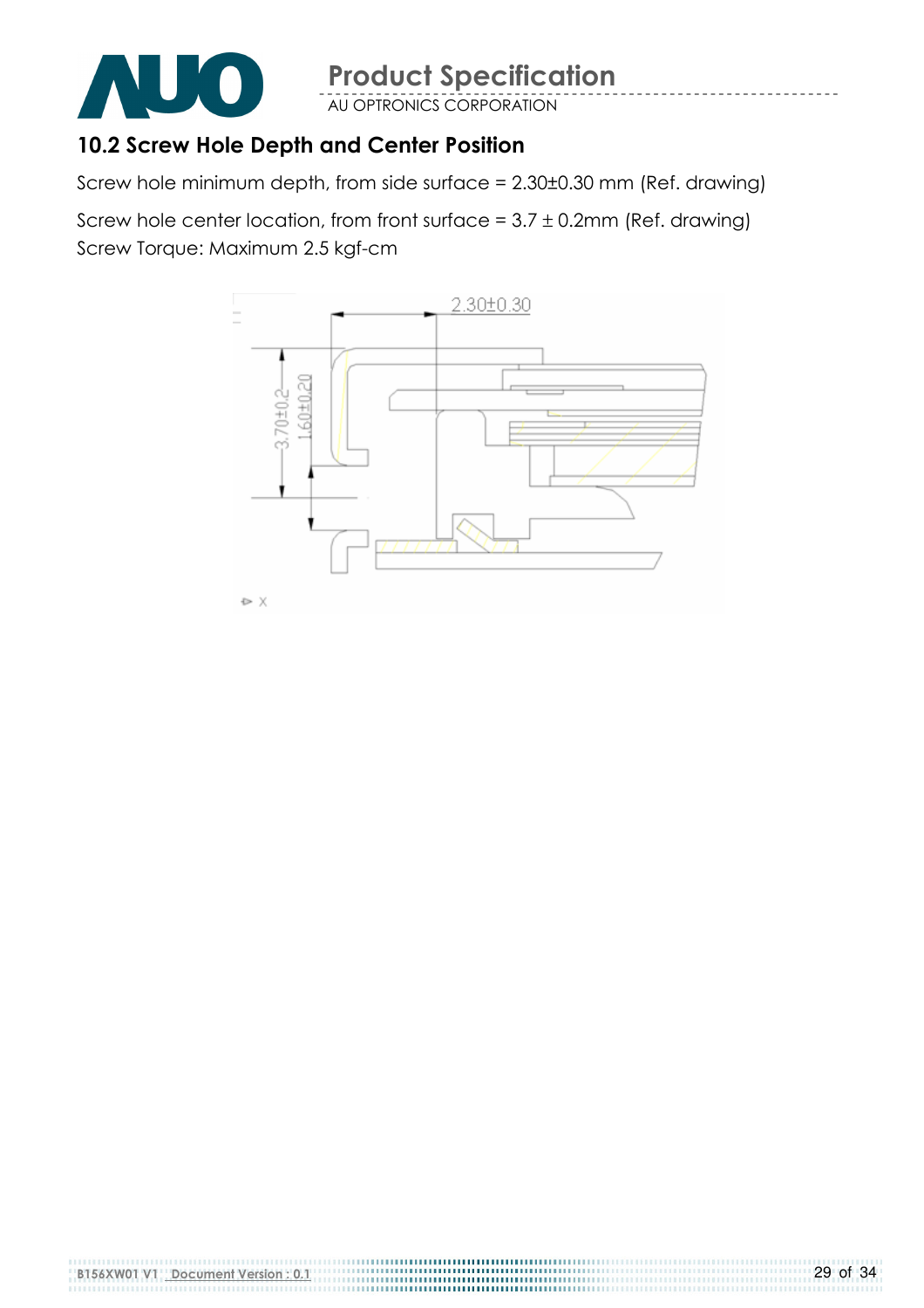

AU OPTRONICS CORPORATION

### 10.2 Screw Hole Depth and Center Position

Screw hole minimum depth, from side surface = 2.30±0.30 mm (Ref. drawing)

Screw hole center location, from front surface =  $3.7 \pm 0.2$ mm (Ref. drawing) Screw Torque: Maximum 2.5 kgf-cm

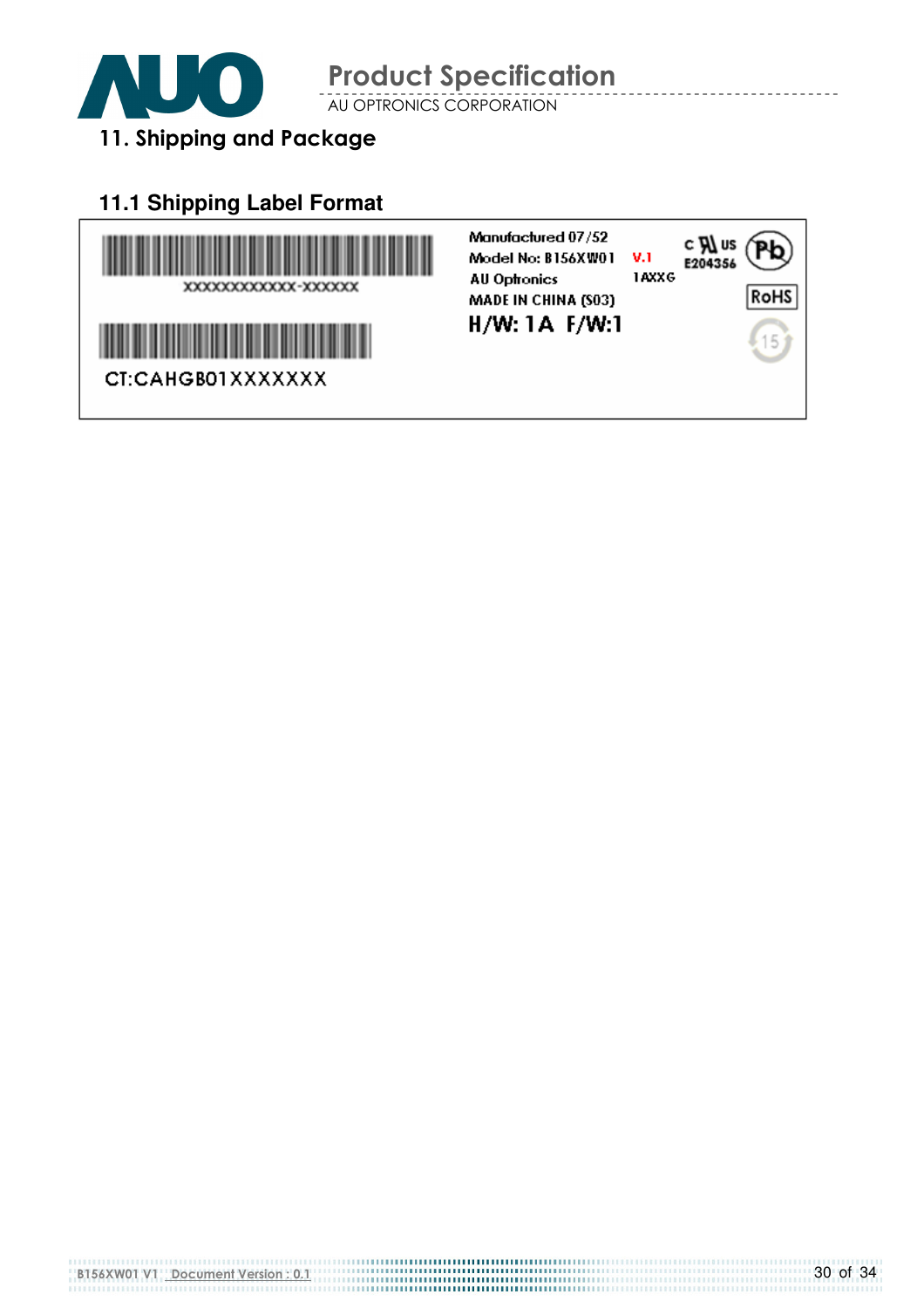

AU OPTRONICS CORPORATION

# 11. Shipping and Package

### **11.1 Shipping Label Format**

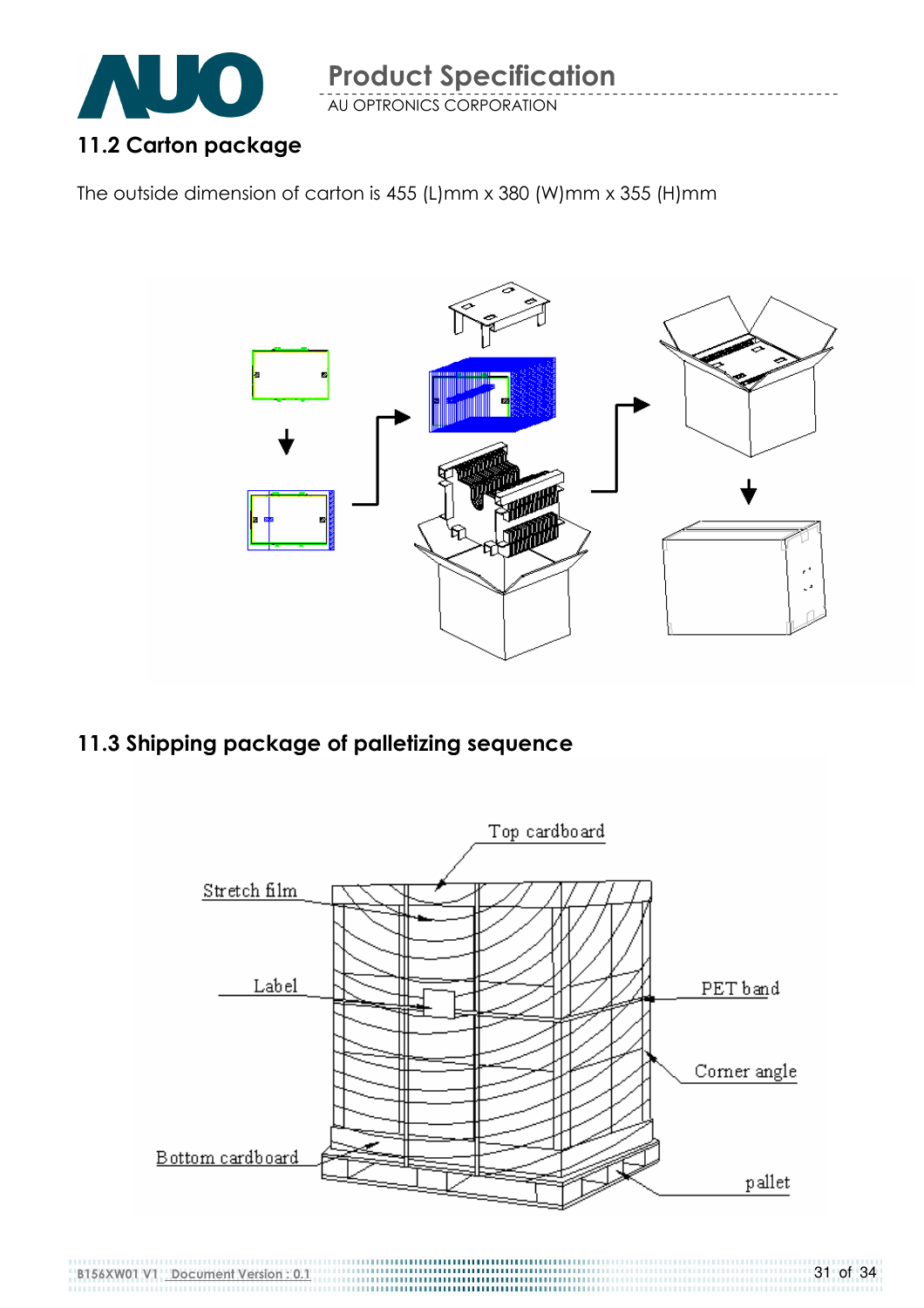

AU OPTRONICS CORPORATION

The outside dimension of carton is 455 (L)mm x 380 (W)mm x 355 (H)mm



### 11.3 Shipping package of palletizing sequence

B156XW01 V1 Document Version : 0.1

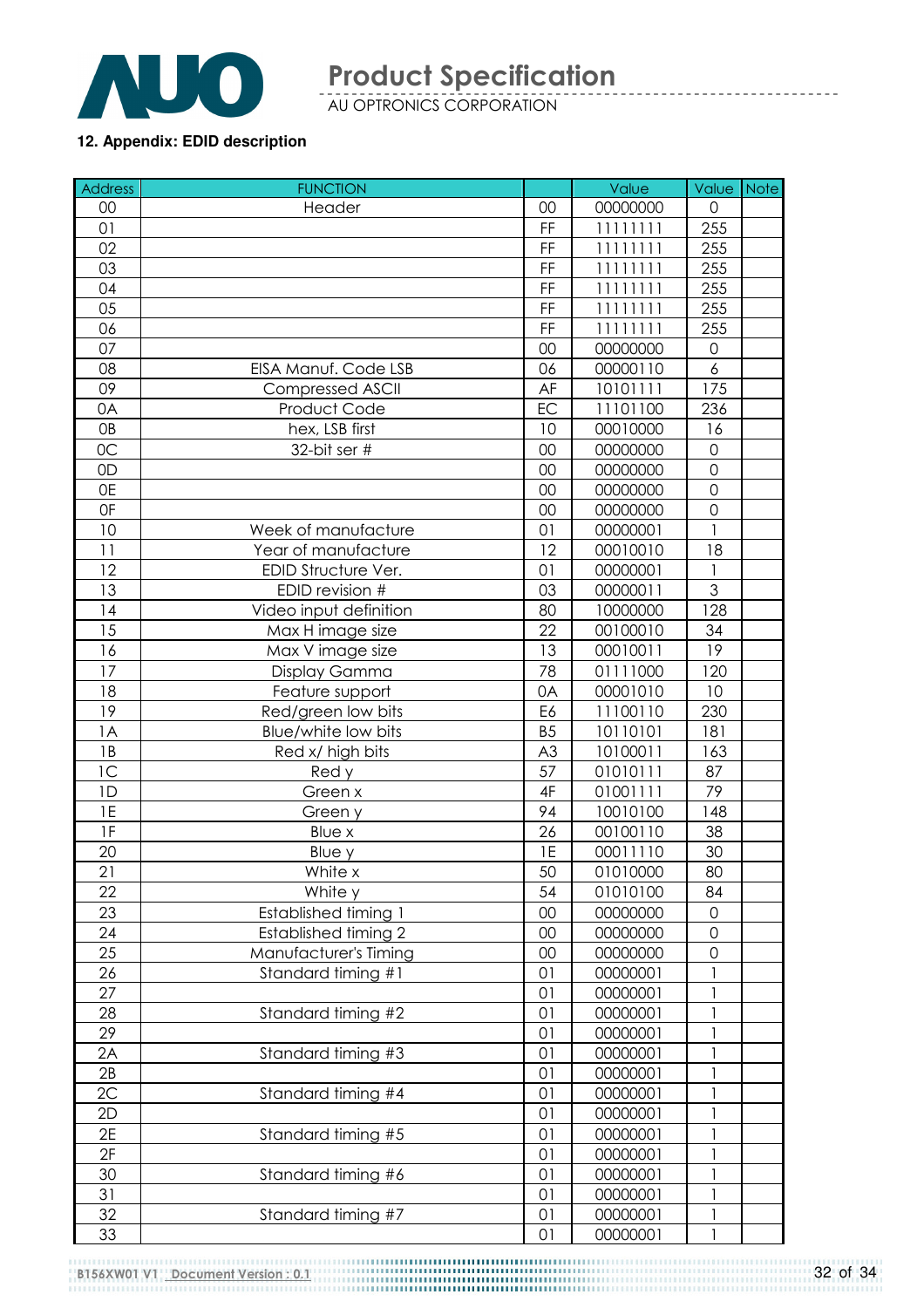

AU OPTRONICS CORPORATION

#### **12. Appendix: EDID description**

| <b>Address</b> | <b>FUNCTION</b>             |                | Value    | Value               | <b>Note</b> |
|----------------|-----------------------------|----------------|----------|---------------------|-------------|
| 00             | Header                      | 00             | 00000000 | $\Omega$            |             |
| 01             |                             | FF             | 11111111 | 255                 |             |
| 02             |                             | FF             | 11111111 | 255                 |             |
| 03             |                             | FF             | 11111111 | 255                 |             |
| 04             |                             | FF             | 11111111 | 255                 |             |
| 05             |                             | FF             | 11111111 | 255                 |             |
| 06             |                             | FF             | 11111111 | 255                 |             |
| 07             |                             | 00             | 00000000 | $\mathsf{O}\xspace$ |             |
| 08             | EISA Manuf. Code LSB        | 06             | 00000110 | 6                   |             |
| 09             | <b>Compressed ASCII</b>     | AF             | 10101111 | 175                 |             |
| 0A             | Product Code                | EC             | 11101100 | 236                 |             |
| <b>OB</b>      | hex, LSB first              | 10             | 00010000 | 16                  |             |
| 0C             | 32-bit ser #                | 00             | 00000000 | $\mathbf 0$         |             |
| 0D             |                             | 00             | 00000000 | $\mathbf 0$         |             |
| 0E             |                             | 00             | 00000000 | $\mathbf 0$         |             |
| 0F             |                             | 00             | 00000000 | $\overline{0}$      |             |
| 10             | Week of manufacture         | 01             | 00000001 |                     |             |
| 11             | Year of manufacture         | 12             | 00010010 | 18                  |             |
| 12             | EDID Structure Ver.         | 01             | 00000001 |                     |             |
| 13             | EDID revision #             | 03             | 00000011 | 3                   |             |
| 14             | Video input definition      | 80             | 10000000 | 128                 |             |
| 15             | Max H image size            | 22             | 00100010 | 34                  |             |
| 16             | Max V image size            | 13             | 00010011 | 19                  |             |
| 17             | Display Gamma               | 78             | 01111000 | 120                 |             |
| 18             | Feature support             | 0A             | 00001010 | 10                  |             |
| 19             | Red/green low bits          | E6             | 11100110 | 230                 |             |
| 1A             | Blue/white low bits         | B <sub>5</sub> | 10110101 | 181                 |             |
| 1B             | Red x/ high bits            | A <sub>3</sub> | 10100011 | 163                 |             |
| 1C             | Red y                       | 57             | 01010111 | 87                  |             |
| 1D             | Green x                     | 4F             | 01001111 | 79                  |             |
| 1E             | Green y                     | 94             | 10010100 | 148                 |             |
| 1F             | Blue x                      | 26             | 00100110 | 38                  |             |
| 20             | Blue y                      | 1E             | 00011110 | 30                  |             |
| 21             | White x                     | 50             | 01010000 | 80                  |             |
| 22             | White y                     | 54             | 01010100 | 84                  |             |
| 23             | <b>Established timing 1</b> | 00             | 00000000 | 0                   |             |
| 24             | <b>Established timing 2</b> | 00             | 00000000 | $\overline{0}$      |             |
| 25             | Manufacturer's Timing       | 00             | 00000000 | $\mathsf{O}\xspace$ |             |
| 26             | Standard timing #1          | 01             | 00000001 |                     |             |
| 27             |                             | 01             | 00000001 | 1                   |             |
| 28             | Standard timing #2          | 01             | 00000001 | $\mathbf{1}$        |             |
| 29             |                             | 01             | 00000001 | $\mathbf{1}$        |             |
| 2A             | Standard timing #3          | 01             | 00000001 | $\mathbf{1}$        |             |
| 2B             |                             | 01             | 00000001 |                     |             |
| 2C             | Standard timing #4          | 01             | 00000001 |                     |             |
| 2D             |                             | 01             | 00000001 |                     |             |
| 2E             | Standard timing #5          | 01             | 00000001 | 1                   |             |
| 2F             |                             | 01             | 00000001 | $\mathbf{1}$        |             |
| 30             | Standard timing #6          | 01             | 00000001 |                     |             |
| 31             |                             | 01             | 00000001 |                     |             |
| 32             | Standard timing #7          | 01             | 00000001 |                     |             |
| 33             |                             | 01             | 00000001 | 1                   |             |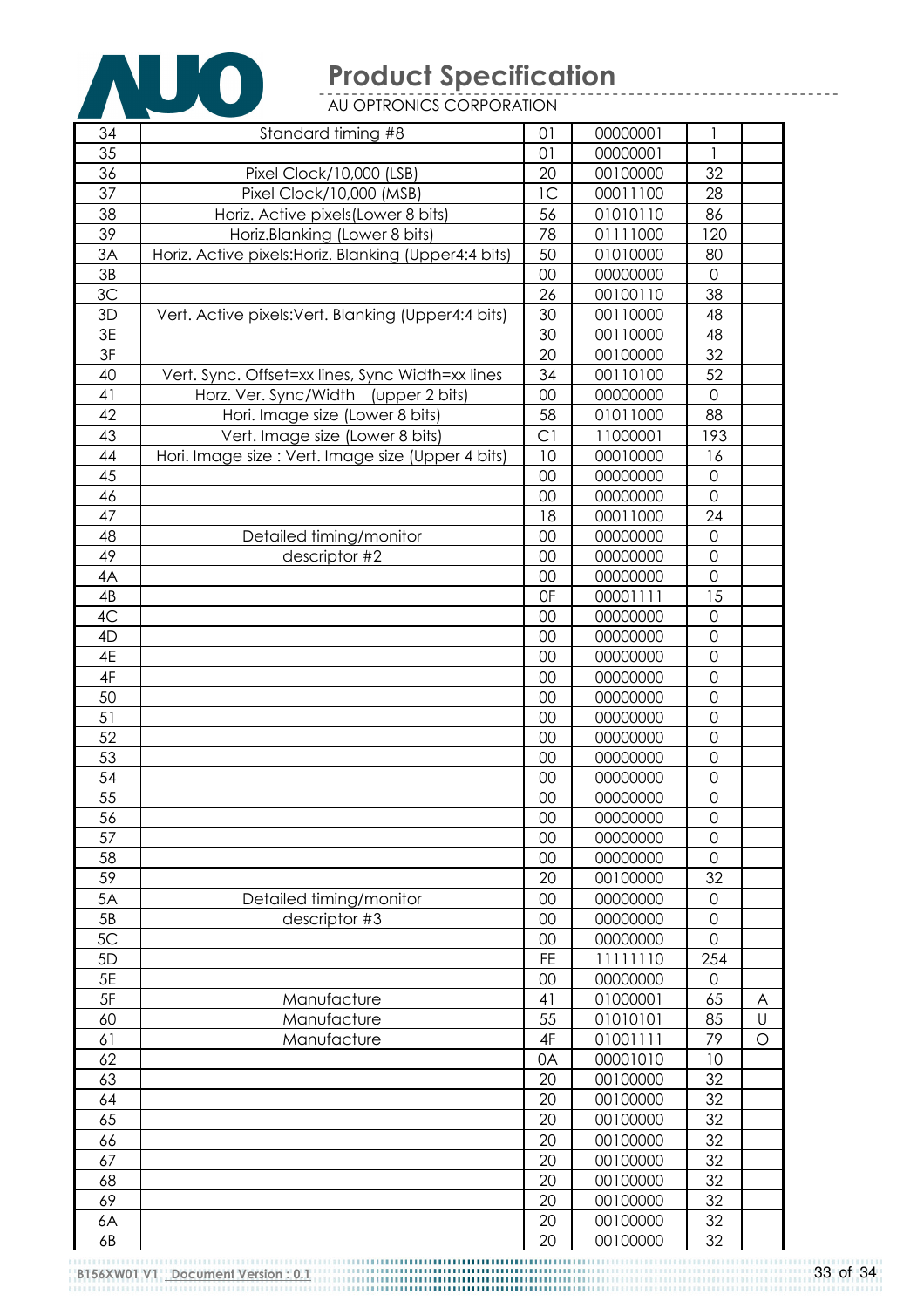

AU OPTRONICS CORPORATION

| 34   | Standard timing #8                                     | 01             | 00000001 | 1                   |   |
|------|--------------------------------------------------------|----------------|----------|---------------------|---|
| 35   |                                                        | 01             | 00000001 | 1                   |   |
| 36   | Pixel Clock/10,000 (LSB)                               | 20             | 00100000 | 32                  |   |
| 37   | Pixel Clock/10,000 (MSB)                               | 1 <sup>C</sup> | 00011100 | 28                  |   |
| 38   | Horiz. Active pixels (Lower 8 bits)                    | 56             | 01010110 | 86                  |   |
| 39   | Horiz.Blanking (Lower 8 bits)                          | 78             | 01111000 | 120                 |   |
| 3A   | Horiz. Active pixels: Horiz. Blanking (Upper4: 4 bits) | 50             | 01010000 | 80                  |   |
| 3B   |                                                        | 00             | 00000000 | $\mathbf 0$         |   |
| 3C   |                                                        | 26             | 00100110 | 38                  |   |
| 3D   | Vert. Active pixels: Vert. Blanking (Upper4:4 bits)    | 30             | 00110000 | 48                  |   |
| 3E   |                                                        | 30             | 00110000 | 48                  |   |
| 3F   |                                                        | 20             | 00100000 | 32                  |   |
| 40   | Vert. Sync. Offset=xx lines, Sync Width=xx lines       | 34             | 00110100 | 52                  |   |
| 41   | Horz. Ver. Sync/Width (upper 2 bits)                   | 00             | 00000000 | $\overline{0}$      |   |
| 42   | Hori. Image size (Lower 8 bits)                        | 58             | 01011000 | 88                  |   |
| 43   | Vert. Image size (Lower 8 bits)                        | C <sub>1</sub> | 11000001 | 193                 |   |
| 44   | Hori. Image size : Vert. Image size (Upper 4 bits)     | 10             | 00010000 | 16                  |   |
| 45   |                                                        | 00             | 00000000 | 0                   |   |
| 46   |                                                        | 00             | 00000000 | $\overline{0}$      |   |
| 47   |                                                        | 18             | 00011000 | 24                  |   |
| 48   | Detailed timing/monitor                                | 00             | 00000000 | $\mathbf 0$         |   |
| 49   | descriptor #2                                          | 00             | 00000000 | $\mathbf 0$         |   |
| 4A   |                                                        | 00             | 00000000 | $\overline{0}$      |   |
| 4B   |                                                        | 0F             | 00001111 | 15                  |   |
| 4C   |                                                        | 00             | 00000000 | 0                   |   |
| 4D   |                                                        | 00             | 00000000 | $\mathbf 0$         |   |
| 4E   |                                                        | 00             | 00000000 | $\mathbf 0$         |   |
| 4F   |                                                        | 00             | 00000000 | $\overline{0}$      |   |
| 50   |                                                        | 00             | 00000000 | $\mathbf 0$         |   |
| 51   |                                                        | 00             | 00000000 | $\mathbf 0$         |   |
| 52   |                                                        | 00             | 00000000 | $\overline{0}$      |   |
| 53   |                                                        | 00             | 00000000 | $\mathbf 0$         |   |
| 54   |                                                        | 00             | 00000000 | $\mathbf 0$         |   |
| 55   |                                                        | 00             | 00000000 | $\mathsf{O}\xspace$ |   |
| 56   |                                                        | 00             | 00000000 | $\mathsf O$         |   |
| 57   |                                                        | 00             | 00000000 | $\overline{0}$      |   |
| 58   |                                                        | 00             | 00000000 | 0                   |   |
| 59   |                                                        | 20             | 00100000 | 32                  |   |
| 5A   | Detailed timing/monitor                                | 00             | 00000000 | $\mathbf 0$         |   |
| 5B   | descriptor #3                                          | 00             | 00000000 | $\mathsf{O}\xspace$ |   |
| 5C   |                                                        | 00             | 00000000 | $\overline{0}$      |   |
| 5D   |                                                        | <b>FE</b>      | 11111110 | 254                 |   |
| $5E$ |                                                        | 00             | 00000000 | 0                   |   |
| $5F$ | Manufacture                                            | 41             | 01000001 | 65                  | A |
| 60   | Manufacture                                            | 55             | 01010101 | 85                  | U |
| 61   | Manufacture                                            | 4F             | 01001111 | 79                  | O |
| 62   |                                                        | 0A             | 00001010 | 10                  |   |
| 63   |                                                        | 20             | 00100000 | 32                  |   |
| 64   |                                                        | 20             | 00100000 | 32                  |   |
| 65   |                                                        | 20             | 00100000 | 32                  |   |
| 66   |                                                        | 20             | 00100000 | 32                  |   |
| 67   |                                                        | 20             | 00100000 | 32                  |   |
| 68   |                                                        | 20             | 00100000 | 32                  |   |
| 69   |                                                        | 20             | 00100000 | 32                  |   |
| 6A   |                                                        | 20             | 00100000 | 32                  |   |
| 6B   |                                                        | 20             | 00100000 | 32                  |   |
|      |                                                        |                |          |                     |   |

33 of 34

-----------------